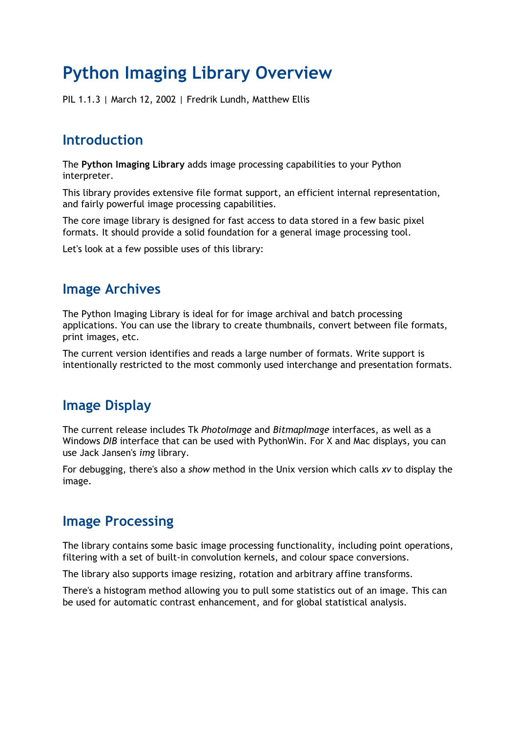# **Python Imaging Library Overview**

PIL 1.1.3 | March 12, 2002 | Fredrik Lundh, Matthew Ellis

## **Introduction**

The **Python Imaging Library** adds image processing capabilities to your Python interpreter.

This library provides extensive file format support, an efficient internal representation, and fairly powerful image processing capabilities.

The core image library is designed for fast access to data stored in a few basic pixel formats. It should provide a solid foundation for a general image processing tool.

Let's look at a few possible uses of this library:

## **Image Archives**

The Python Imaging Library is ideal for for image archival and batch processing applications. You can use the library to create thumbnails, convert between file formats, print images, etc.

The current version identifies and reads a large number of formats. Write support is intentionally restricted to the most commonly used interchange and presentation formats.

## **Image Display**

The current release includes Tk *PhotoImage* and *BitmapImage* interfaces, as well as a Windows *DIB* interface that can be used with PythonWin. For X and Mac displays, you can use Jack Jansen's *img* library.

For debugging, there's also a *show* method in the Unix version which calls *xv* to display the image.

## **Image Processing**

The library contains some basic image processing functionality, including point operations, filtering with a set of built-in convolution kernels, and colour space conversions.

The library also supports image resizing, rotation and arbitrary affine transforms.

There's a histogram method allowing you to pull some statistics out of an image. This can be used for automatic contrast enhancement, and for global statistical analysis.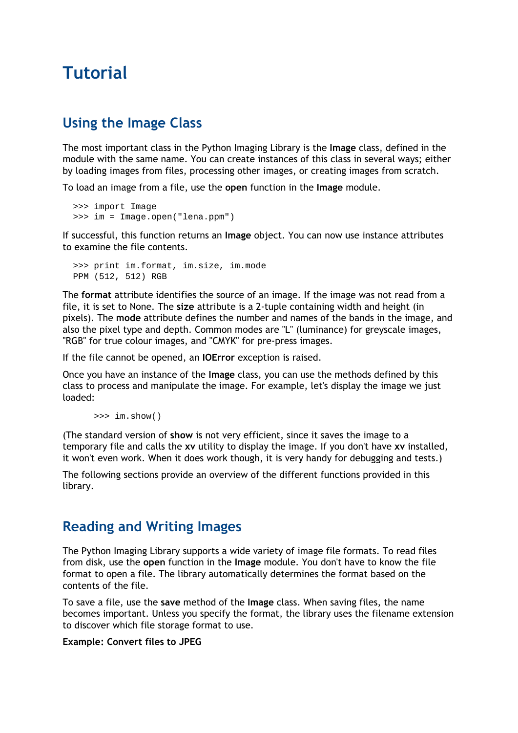# **Tutorial**

## **Using the Image Class**

The most important class in the Python Imaging Library is the **Image** class, defined in the module with the same name. You can create instances of this class in several ways; either by loading images from files, processing other images, or creating images from scratch.

To load an image from a file, use the **open** function in the **Image** module.

```
>>> import Image
>>> im = Image.open("lena.ppm")
```
If successful, this function returns an **Image** object. You can now use instance attributes to examine the file contents.

>>> print im.format, im.size, im.mode PPM (512, 512) RGB

The **format** attribute identifies the source of an image. If the image was not read from a file, it is set to None. The **size** attribute is a 2-tuple containing width and height (in pixels). The **mode** attribute defines the number and names of the bands in the image, and also the pixel type and depth. Common modes are "L" (luminance) for greyscale images, "RGB" for true colour images, and "CMYK" for pre-press images.

If the file cannot be opened, an **IOError** exception is raised.

Once you have an instance of the **Image** class, you can use the methods defined by this class to process and manipulate the image. For example, let's display the image we just loaded:

```
 >>> im.show()
```
(The standard version of **show** is not very efficient, since it saves the image to a temporary file and calls the **xv** utility to display the image. If you don't have **xv** installed, it won't even work. When it does work though, it is very handy for debugging and tests.)

The following sections provide an overview of the different functions provided in this library.

## **Reading and Writing Images**

The Python Imaging Library supports a wide variety of image file formats. To read files from disk, use the **open** function in the **Image** module. You don't have to know the file format to open a file. The library automatically determines the format based on the contents of the file.

To save a file, use the **save** method of the **Image** class. When saving files, the name becomes important. Unless you specify the format, the library uses the filename extension to discover which file storage format to use.

## **Example: Convert files to JPEG**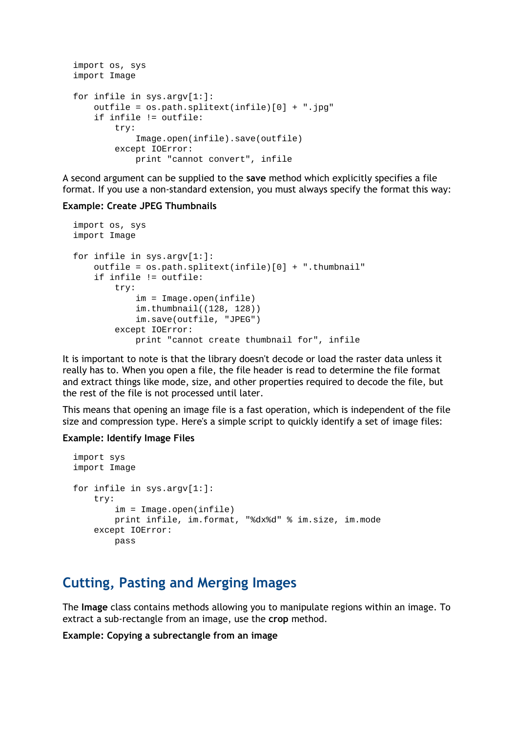```
import os, sys
import Image
for infile in sys.argv[1:]:
     outfile = os.path.splitext(infile)[0] + ".jpg"
     if infile != outfile:
         try:
             Image.open(infile).save(outfile)
         except IOError:
             print "cannot convert", infile
```
A second argument can be supplied to the **save** method which explicitly specifies a file format. If you use a non-standard extension, you must always specify the format this way:

#### **Example: Create JPEG Thumbnails**

```
import os, sys
import Image
for infile in sys.argv[1:]:
     outfile = os.path.splitext(infile)[0] + ".thumbnail"
     if infile != outfile:
         try:
             im = Image.open(infile)
             im.thumbnail((128, 128))
             im.save(outfile, "JPEG")
         except IOError:
             print "cannot create thumbnail for", infile
```
It is important to note is that the library doesn't decode or load the raster data unless it really has to. When you open a file, the file header is read to determine the file format and extract things like mode, size, and other properties required to decode the file, but the rest of the file is not processed until later.

This means that opening an image file is a fast operation, which is independent of the file size and compression type. Here's a simple script to quickly identify a set of image files:

## **Example: Identify Image Files**

```
import sys
import Image
for infile in sys.argv[1:]:
     try:
         im = Image.open(infile)
         print infile, im.format, "%dx%d" % im.size, im.mode
     except IOError:
         pass
```
## **Cutting, Pasting and Merging Images**

The **Image** class contains methods allowing you to manipulate regions within an image. To extract a sub-rectangle from an image, use the **crop** method.

**Example: Copying a subrectangle from an image**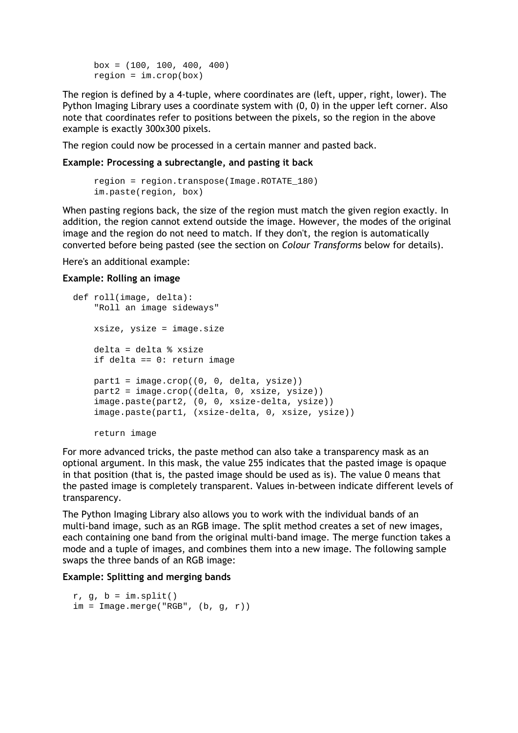```
box = (100, 100, 400, 400) region = im.crop(box)
```
The region is defined by a 4-tuple, where coordinates are (left, upper, right, lower). The Python Imaging Library uses a coordinate system with (0, 0) in the upper left corner. Also note that coordinates refer to positions between the pixels, so the region in the above example is exactly 300x300 pixels.

The region could now be processed in a certain manner and pasted back.

#### **Example: Processing a subrectangle, and pasting it back**

```
 region = region.transpose(Image.ROTATE_180)
 im.paste(region, box)
```
When pasting regions back, the size of the region must match the given region exactly. In addition, the region cannot extend outside the image. However, the modes of the original image and the region do not need to match. If they don't, the region is automatically converted before being pasted (see the section on *Colour Transforms* below for details).

Here's an additional example:

#### **Example: Rolling an image**

```
def roll(image, delta):
     "Roll an image sideways"
     xsize, ysize = image.size
     delta = delta % xsize
     if delta == 0: return image
    part1 = image.crop((0, 0, delta, ysize)) part2 = image.crop((delta, 0, xsize, ysize))
     image.paste(part2, (0, 0, xsize-delta, ysize))
     image.paste(part1, (xsize-delta, 0, xsize, ysize))
     return image
```
For more advanced tricks, the paste method can also take a transparency mask as an optional argument. In this mask, the value 255 indicates that the pasted image is opaque in that position (that is, the pasted image should be used as is). The value 0 means that the pasted image is completely transparent. Values in-between indicate different levels of transparency.

The Python Imaging Library also allows you to work with the individual bands of an multi-band image, such as an RGB image. The split method creates a set of new images, each containing one band from the original multi-band image. The merge function takes a mode and a tuple of images, and combines them into a new image. The following sample swaps the three bands of an RGB image:

#### **Example: Splitting and merging bands**

```
r, q, b = im.split()im = Image.merge("RGB", (b, g, r))
```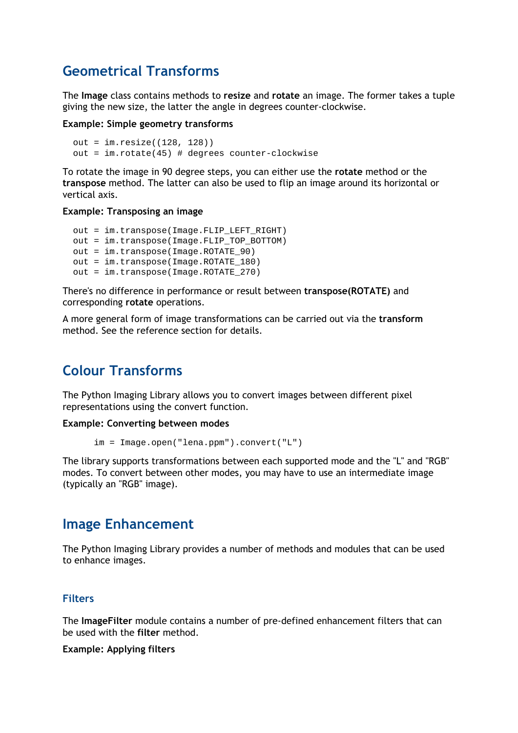## **Geometrical Transforms**

The **Image** class contains methods to **resize** and **rotate** an image. The former takes a tuple giving the new size, the latter the angle in degrees counter-clockwise.

#### **Example: Simple geometry transforms**

```
out = im.resize((128, 128))
out = im.rotate(45) # degrees counter-clockwise
```
To rotate the image in 90 degree steps, you can either use the **rotate** method or the **transpose** method. The latter can also be used to flip an image around its horizontal or vertical axis.

#### **Example: Transposing an image**

```
out = im.transpose(Image.FLIP LEFT RIGHT)
out = im.transpose(Image.FLIP_TOP_BOTTOM)
out = im.transpose(Image.ROTATE_90)
out = im.transpose(Image.ROTATE_180)
out = im.transpose(Image.ROTATE_270)
```
There's no difference in performance or result between **transpose(ROTATE)** and corresponding **rotate** operations.

A more general form of image transformations can be carried out via the **transform** method. See the reference section for details.

## **Colour Transforms**

The Python Imaging Library allows you to convert images between different pixel representations using the convert function.

### **Example: Converting between modes**

im = Image.open("lena.ppm").convert("L")

The library supports transformations between each supported mode and the "L" and "RGB" modes. To convert between other modes, you may have to use an intermediate image (typically an "RGB" image).

## **Image Enhancement**

The Python Imaging Library provides a number of methods and modules that can be used to enhance images.

### **Filters**

The **ImageFilter** module contains a number of pre-defined enhancement filters that can be used with the **filter** method.

#### **Example: Applying filters**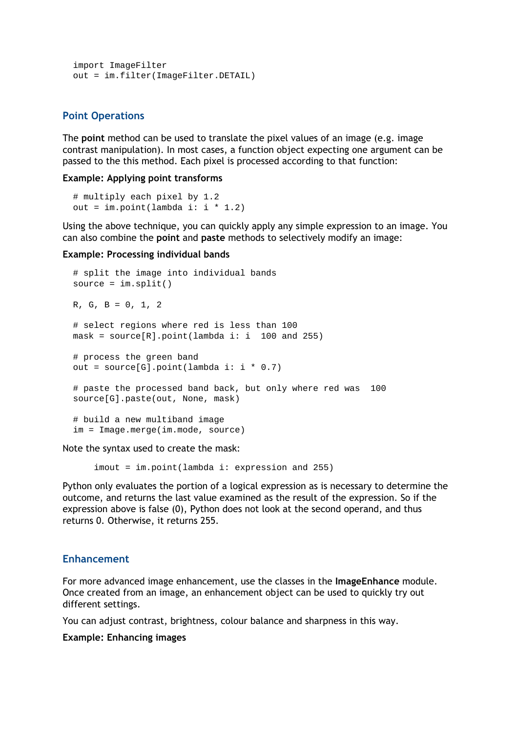```
import ImageFilter
out = im.filter(ImageFilter.DETAIL)
```
## **Point Operations**

The **point** method can be used to translate the pixel values of an image (e.g. image contrast manipulation). In most cases, a function object expecting one argument can be passed to the this method. Each pixel is processed according to that function:

#### **Example: Applying point transforms**

```
# multiply each pixel by 1.2
out = im.point(lambda i: i * 1.2)
```
Using the above technique, you can quickly apply any simple expression to an image. You can also combine the **point** and **paste** methods to selectively modify an image:

#### **Example: Processing individual bands**

```
# split the image into individual bands
source = im.split()R, G, B = 0, 1, 2# select regions where red is less than 100
mask = source[R].point(lambda i: i 100 and 255)
# process the green band
out = source[G].point(lambda i: i * 0.7)# paste the processed band back, but only where red was 100
source[G].paste(out, None, mask)
# build a new multiband image
im = Image.merge(im.mode, source)
```
Note the syntax used to create the mask:

```
 imout = im.point(lambda i: expression and 255)
```
Python only evaluates the portion of a logical expression as is necessary to determine the outcome, and returns the last value examined as the result of the expression. So if the expression above is false (0), Python does not look at the second operand, and thus returns 0. Otherwise, it returns 255.

### **Enhancement**

For more advanced image enhancement, use the classes in the **ImageEnhance** module. Once created from an image, an enhancement object can be used to quickly try out different settings.

You can adjust contrast, brightness, colour balance and sharpness in this way.

#### **Example: Enhancing images**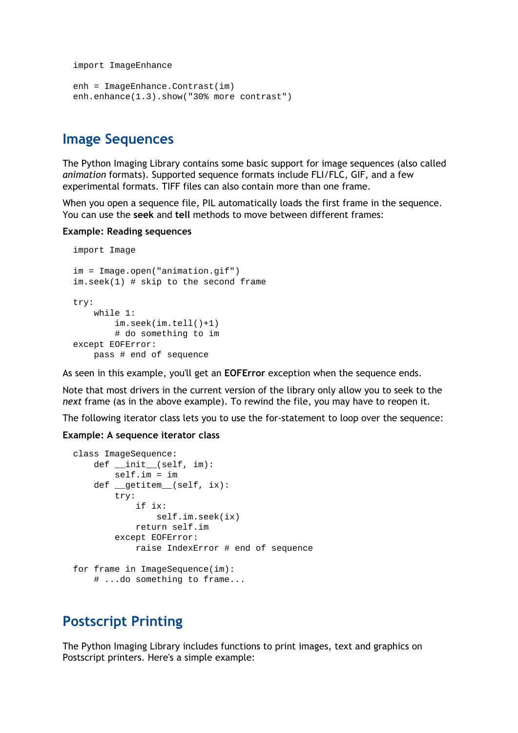```
import ImageEnhance
enh = ImageEnhance.Contrast(im)
enh.enhance(1.3).show("30% more contrast")
```
## **Image Sequences**

The Python Imaging Library contains some basic support for image sequences (also called *animation* formats). Supported sequence formats include FLI/FLC, GIF, and a few experimental formats. TIFF files can also contain more than one frame.

When you open a sequence file, PIL automatically loads the first frame in the sequence. You can use the **seek** and **tell** methods to move between different frames:

### **Example: Reading sequences**

```
import Image
im = Image.open("animation.gif")
im.seek(1) # skip to the second frame
try:
     while 1:
        im.seek(im.tell()+1)
         # do something to im
except EOFError:
    pass # end of sequence
```
As seen in this example, you'll get an **EOFError** exception when the sequence ends.

Note that most drivers in the current version of the library only allow you to seek to the *next* frame (as in the above example). To rewind the file, you may have to reopen it.

The following iterator class lets you to use the for-statement to loop over the sequence:

### **Example: A sequence iterator class**

```
class ImageSequence:
     def __init__(self, im):
         self.im = im
     def __getitem__(self, ix):
         try:
             if ix:
                 self.im.seek(ix)
             return self.im
         except EOFError:
             raise IndexError # end of sequence
for frame in ImageSequence(im):
     # ...do something to frame...
```
## **Postscript Printing**

The Python Imaging Library includes functions to print images, text and graphics on Postscript printers. Here's a simple example: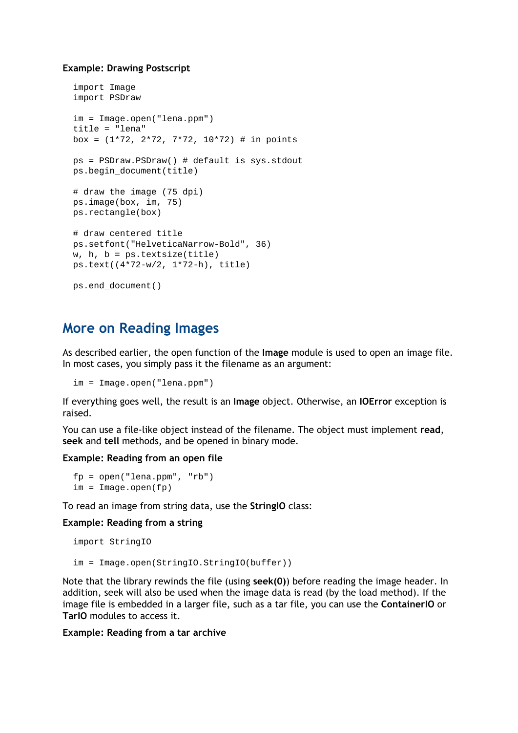### **Example: Drawing Postscript**

```
import Image
import PSDraw
im = Image.open("lena.ppm")
title = "lena"
box = (1*72, 2*72, 7*72, 10*72) # in points
ps = PSDraw.PSDraw() # default is sys.stdout
ps.begin_document(title)
# draw the image (75 dpi)
ps.image(box, im, 75)
ps.rectangle(box) 
# draw centered title
ps.setfont("HelveticaNarrow-Bold", 36)
w, h, b = ps.textsize(title)
ps.text((4*72-w/2, 1*72-h), title) 
ps.end_document()
```
## **More on Reading Images**

As described earlier, the open function of the **Image** module is used to open an image file. In most cases, you simply pass it the filename as an argument:

```
im = Image.open("lena.ppm")
```
If everything goes well, the result is an **Image** object. Otherwise, an **IOError** exception is raised.

You can use a file-like object instead of the filename. The object must implement **read**, **seek** and **tell** methods, and be opened in binary mode.

#### **Example: Reading from an open file**

```
fp = open("lena.ppm", "rb")im = Image.open(fp)
```
To read an image from string data, use the **StringIO** class:

#### **Example: Reading from a string**

```
import StringIO
im = Image.open(StringIO.StringIO(buffer))
```
Note that the library rewinds the file (using **seek(0)**) before reading the image header. In addition, seek will also be used when the image data is read (by the load method). If the image file is embedded in a larger file, such as a tar file, you can use the **ContainerIO** or **TarIO** modules to access it.

### **Example: Reading from a tar archive**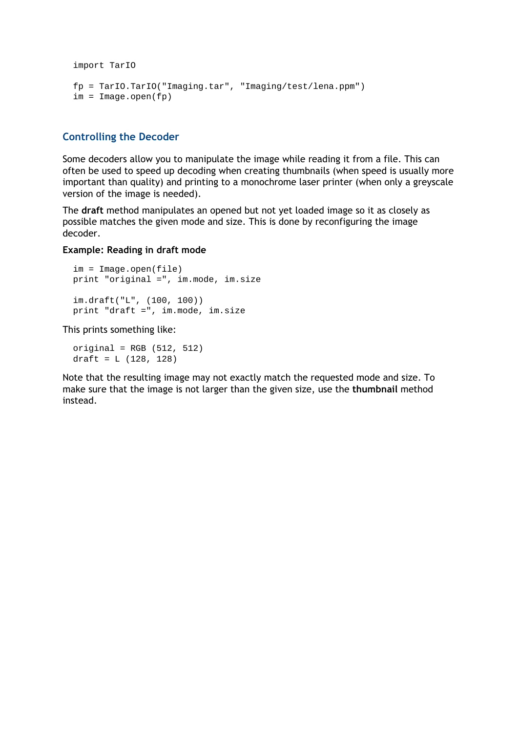```
import TarIO
fp = TarIO.TarIO("Imaging.tar", "Imaging/test/lena.ppm")
im = Image.open(fp)
```
## **Controlling the Decoder**

Some decoders allow you to manipulate the image while reading it from a file. This can often be used to speed up decoding when creating thumbnails (when speed is usually more important than quality) and printing to a monochrome laser printer (when only a greyscale version of the image is needed).

The **draft** method manipulates an opened but not yet loaded image so it as closely as possible matches the given mode and size. This is done by reconfiguring the image decoder.

**Example: Reading in draft mode**

```
im = Image.open(file)
print "original =", im.mode, im.size
im.draft("L", (100, 100))
print "draft =", im.mode, im.size
```
This prints something like:

original =  $RGB (512, 512)$ draft =  $L (128, 128)$ 

Note that the resulting image may not exactly match the requested mode and size. To make sure that the image is not larger than the given size, use the **thumbnail** method instead.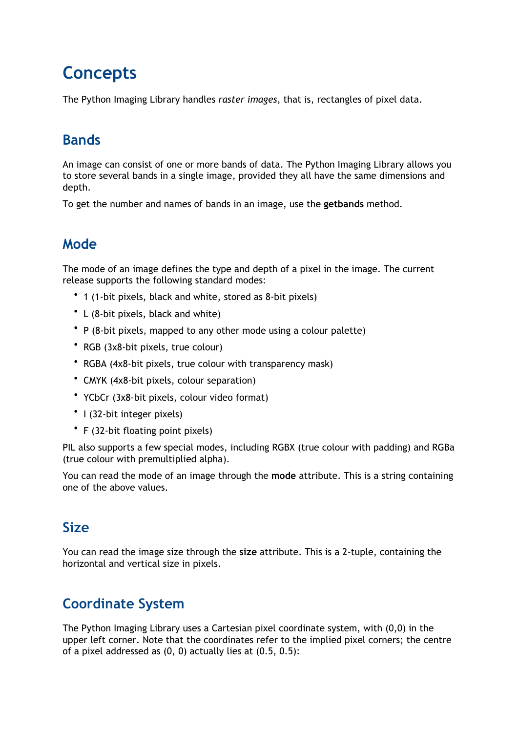# **Concepts**

The Python Imaging Library handles *raster images*, that is, rectangles of pixel data.

## **Bands**

An image can consist of one or more bands of data. The Python Imaging Library allows you to store several bands in a single image, provided they all have the same dimensions and depth.

To get the number and names of bands in an image, use the **getbands** method.

## **Mode**

The mode of an image defines the type and depth of a pixel in the image. The current release supports the following standard modes:

- 1 (1-bit pixels, black and white, stored as 8-bit pixels)
- L (8-bit pixels, black and white)
- P (8-bit pixels, mapped to any other mode using a colour palette)
- RGB (3x8-bit pixels, true colour)
- RGBA (4x8-bit pixels, true colour with transparency mask)
- CMYK (4x8-bit pixels, colour separation) •
- YCbCr (3x8-bit pixels, colour video format) •
- I (32-bit integer pixels)
- F (32-bit floating point pixels)

PIL also supports a few special modes, including RGBX (true colour with padding) and RGBa (true colour with premultiplied alpha).

You can read the mode of an image through the **mode** attribute. This is a string containing one of the above values.

## **Size**

You can read the image size through the **size** attribute. This is a 2-tuple, containing the horizontal and vertical size in pixels.

## **Coordinate System**

The Python Imaging Library uses a Cartesian pixel coordinate system, with (0,0) in the upper left corner. Note that the coordinates refer to the implied pixel corners; the centre of a pixel addressed as (0, 0) actually lies at (0.5, 0.5):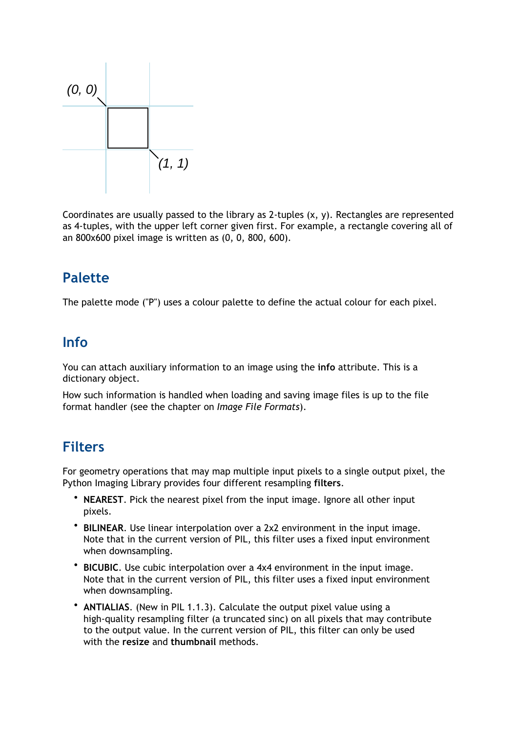

Coordinates are usually passed to the library as 2-tuples  $(x, y)$ . Rectangles are represented as 4-tuples, with the upper left corner given first. For example, a rectangle covering all of an 800x600 pixel image is written as (0, 0, 800, 600).

## **Palette**

The palette mode ("P") uses a colour palette to define the actual colour for each pixel.

## **Info**

You can attach auxiliary information to an image using the **info** attribute. This is a dictionary object.

How such information is handled when loading and saving image files is up to the file format handler (see the chapter on *Image File Formats*).

## **Filters**

For geometry operations that may map multiple input pixels to a single output pixel, the Python Imaging Library provides four different resampling **filters**.

- NEAREST. Pick the nearest pixel from the input image. Ignore all other input pixels.
- **BILINEAR.** Use linear interpolation over a 2x2 environment in the input image. Note that in the current version of PIL, this filter uses a fixed input environment when downsampling.
- **BICUBIC**. Use cubic interpolation over a 4x4 environment in the input image. Note that in the current version of PIL, this filter uses a fixed input environment when downsampling.
- **ANTIALIAS**. (New in PIL 1.1.3). Calculate the output pixel value using a high-quality resampling filter (a truncated sinc) on all pixels that may contribute to the output value. In the current version of PIL, this filter can only be used with the **resize** and **thumbnail** methods.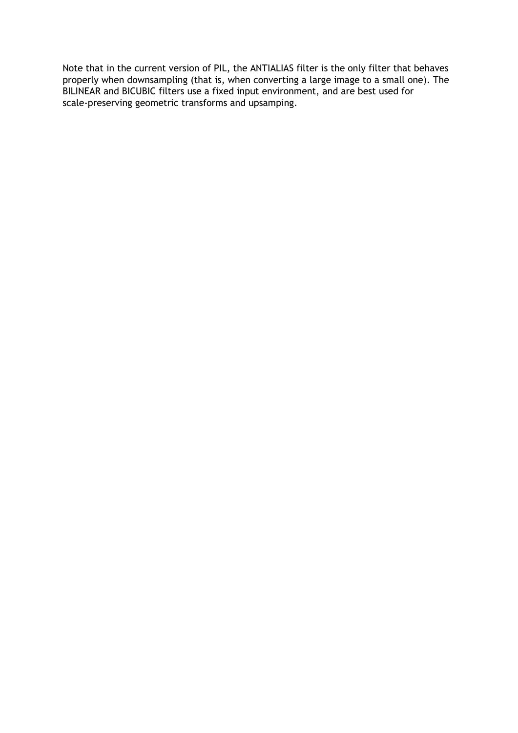Note that in the current version of PIL, the ANTIALIAS filter is the only filter that behaves properly when downsampling (that is, when converting a large image to a small one). The BILINEAR and BICUBIC filters use a fixed input environment, and are best used for scale-preserving geometric transforms and upsamping.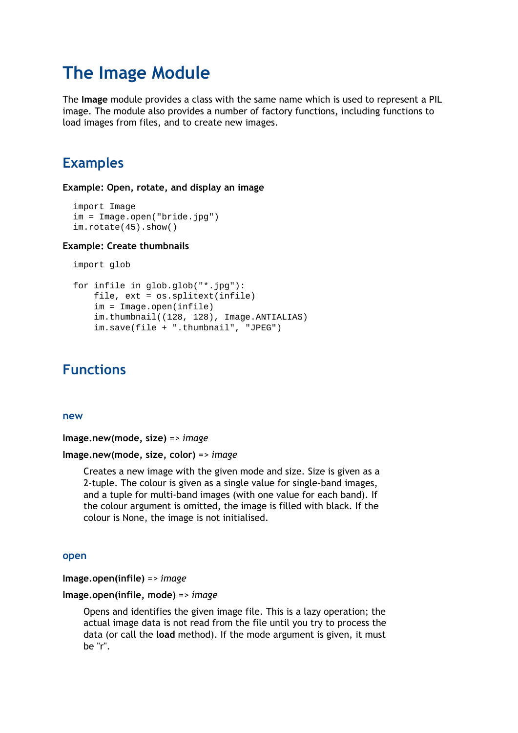# **The Image Module**

The **Image** module provides a class with the same name which is used to represent a PIL image. The module also provides a number of factory functions, including functions to load images from files, and to create new images.

## **Examples**

### **Example: Open, rotate, and display an image**

```
import Image
im = Image.open("bride.jpg")
im.rotate(45).show()
```
### **Example: Create thumbnails**

```
import glob
```

```
for infile in glob.glob("*.jpg"):
     file, ext = os.splitext(infile)
     im = Image.open(infile)
     im.thumbnail((128, 128), Image.ANTIALIAS)
     im.save(file + ".thumbnail", "JPEG")
```
## **Functions**

#### **new**

**Image.new(mode, size)** *=> image*

```
Image.new(mode, size, color) => image
```
Creates a new image with the given mode and size. Size is given as a 2-tuple. The colour is given as a single value for single-band images, and a tuple for multi-band images (with one value for each band). If the colour argument is omitted, the image is filled with black. If the colour is None, the image is not initialised.

### **open**

**Image.open(infile)** *=> image*

#### **Image.open(infile, mode)** *=> image*

Opens and identifies the given image file. This is a lazy operation; the actual image data is not read from the file until you try to process the data (or call the **load** method). If the mode argument is given, it must be "r".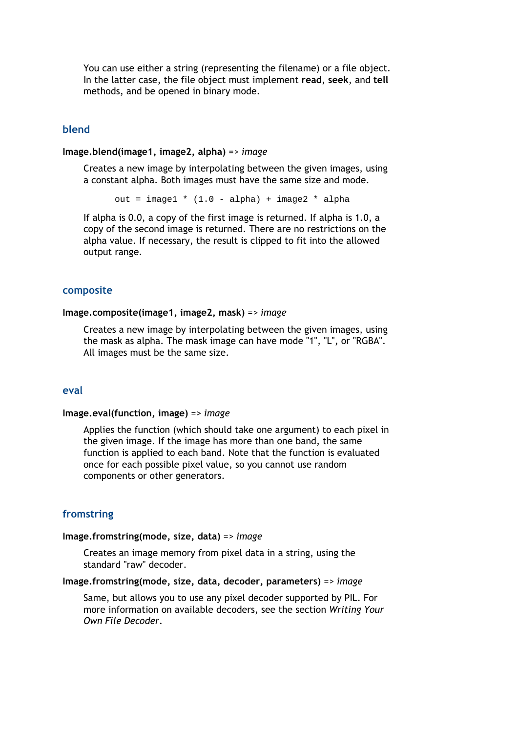You can use either a string (representing the filename) or a file object. In the latter case, the file object must implement **read**, **seek**, and **tell** methods, and be opened in binary mode.

## **blend**

#### **Image.blend(image1, image2, alpha)** *=> image*

Creates a new image by interpolating between the given images, using a constant alpha. Both images must have the same size and mode.

out = image1  $*(1.0 - alpha) + image2 * alpha)$ 

If alpha is 0.0, a copy of the first image is returned. If alpha is 1.0, a copy of the second image is returned. There are no restrictions on the alpha value. If necessary, the result is clipped to fit into the allowed output range.

#### **composite**

#### **Image.composite(image1, image2, mask)** *=> image*

Creates a new image by interpolating between the given images, using the mask as alpha. The mask image can have mode "1", "L", or "RGBA". All images must be the same size.

### **eval**

#### **Image.eval(function, image)** *=> image*

Applies the function (which should take one argument) to each pixel in the given image. If the image has more than one band, the same function is applied to each band. Note that the function is evaluated once for each possible pixel value, so you cannot use random components or other generators.

#### **fromstring**

#### **Image.fromstring(mode, size, data)** *=> image*

Creates an image memory from pixel data in a string, using the standard "raw" decoder.

## **Image.fromstring(mode, size, data, decoder, parameters)** *=> image*

Same, but allows you to use any pixel decoder supported by PIL. For more information on available decoders, see the section *Writing Your Own File Decoder*.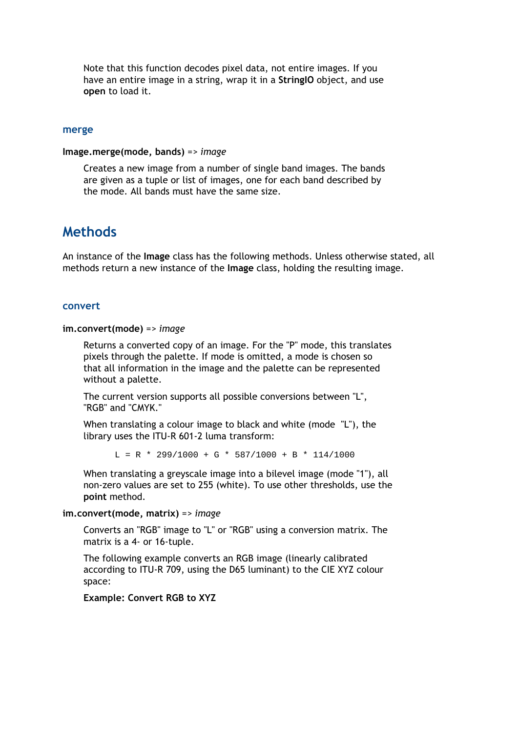Note that this function decodes pixel data, not entire images. If you have an entire image in a string, wrap it in a **StringIO** object, and use **open** to load it.

#### **merge**

**Image.merge(mode, bands)** *=> image*

Creates a new image from a number of single band images. The bands are given as a tuple or list of images, one for each band described by the mode. All bands must have the same size.

## **Methods**

An instance of the **Image** class has the following methods. Unless otherwise stated, all methods return a new instance of the **Image** class, holding the resulting image.

#### **convert**

#### **im.convert(mode)** *=> image*

Returns a converted copy of an image. For the "P" mode, this translates pixels through the palette. If mode is omitted, a mode is chosen so that all information in the image and the palette can be represented without a palette.

The current version supports all possible conversions between "L", "RGB" and "CMYK."

When translating a colour image to black and white (mode "L"), the library uses the ITU-R 601-2 luma transform:

 $L = R * 299/1000 + G * 587/1000 + B * 114/1000$ 

When translating a greyscale image into a bilevel image (mode "1"), all non-zero values are set to 255 (white). To use other thresholds, use the **point** method.

## **im.convert(mode, matrix)** *=> image*

Converts an "RGB" image to "L" or "RGB" using a conversion matrix. The matrix is a 4- or 16-tuple.

The following example converts an RGB image (linearly calibrated according to ITU-R 709, using the D65 luminant) to the CIE XYZ colour space:

### **Example: Convert RGB to XYZ**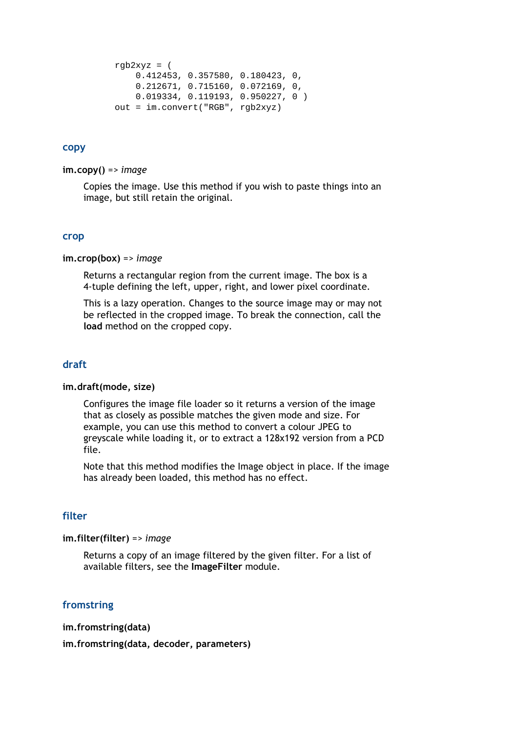```
 rgb2xyz = (
     0.412453, 0.357580, 0.180423, 0,
     0.212671, 0.715160, 0.072169, 0,
     0.019334, 0.119193, 0.950227, 0 )
 out = im.convert("RGB", rgb2xyz)
```
## **copy**

#### **im.copy()** *=> image*

Copies the image. Use this method if you wish to paste things into an image, but still retain the original.

### **crop**

**im.crop(box)** *=> image*

Returns a rectangular region from the current image. The box is a 4-tuple defining the left, upper, right, and lower pixel coordinate.

This is a lazy operation. Changes to the source image may or may not be reflected in the cropped image. To break the connection, call the **load** method on the cropped copy.

## **draft**

### **im.draft(mode, size)**

Configures the image file loader so it returns a version of the image that as closely as possible matches the given mode and size. For example, you can use this method to convert a colour JPEG to greyscale while loading it, or to extract a 128x192 version from a PCD file.

Note that this method modifies the Image object in place. If the image has already been loaded, this method has no effect.

### **filter**

## **im.filter(filter)** *=> image*

Returns a copy of an image filtered by the given filter. For a list of available filters, see the **ImageFilter** module.

## **fromstring**

#### **im.fromstring(data)**

**im.fromstring(data, decoder, parameters)**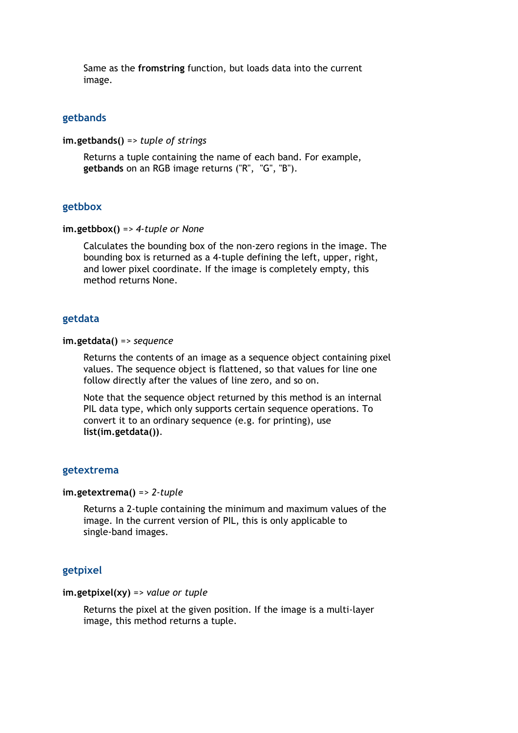Same as the **fromstring** function, but loads data into the current image.

### **getbands**

**im.getbands()** *=> tuple of strings*

Returns a tuple containing the name of each band. For example, **getbands** on an RGB image returns ("R", "G", "B").

## **getbbox**

**im.getbbox()** *=> 4-tuple or None*

Calculates the bounding box of the non-zero regions in the image. The bounding box is returned as a 4-tuple defining the left, upper, right, and lower pixel coordinate. If the image is completely empty, this method returns None.

## **getdata**

#### **im.getdata()** *=> sequence*

Returns the contents of an image as a sequence object containing pixel values. The sequence object is flattened, so that values for line one follow directly after the values of line zero, and so on.

Note that the sequence object returned by this method is an internal PIL data type, which only supports certain sequence operations. To convert it to an ordinary sequence (e.g. for printing), use **list(im.getdata())**.

## **getextrema**

**im.getextrema()** *=> 2-tuple*

Returns a 2-tuple containing the minimum and maximum values of the image. In the current version of PIL, this is only applicable to single-band images.

## **getpixel**

#### **im.getpixel(xy)** *=> value or tuple*

Returns the pixel at the given position. If the image is a multi-layer image, this method returns a tuple.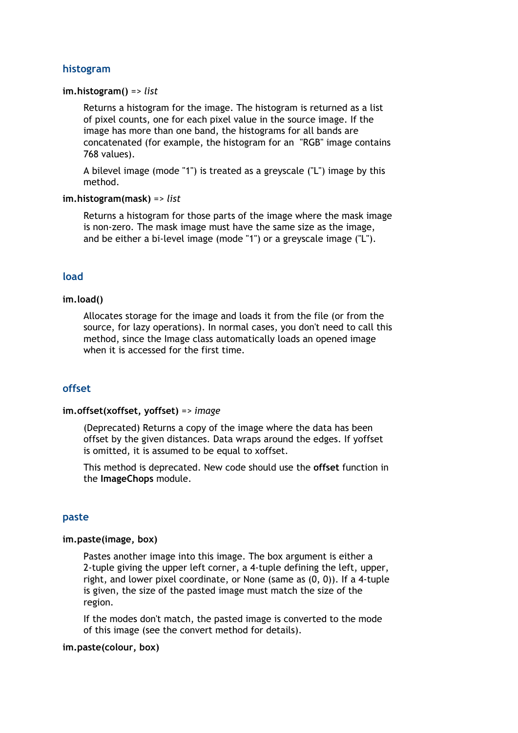## **histogram**

### **im.histogram()** *=> list*

Returns a histogram for the image. The histogram is returned as a list of pixel counts, one for each pixel value in the source image. If the image has more than one band, the histograms for all bands are concatenated (for example, the histogram for an "RGB" image contains 768 values).

A bilevel image (mode "1") is treated as a greyscale ("L") image by this method.

### **im.histogram(mask)** *=> list*

Returns a histogram for those parts of the image where the mask image is non-zero. The mask image must have the same size as the image, and be either a bi-level image (mode "1") or a greyscale image ("L").

## **load**

## **im.load()**

Allocates storage for the image and loads it from the file (or from the source, for lazy operations). In normal cases, you don't need to call this method, since the Image class automatically loads an opened image when it is accessed for the first time.

## **offset**

### **im.offset(xoffset, yoffset)** *=> image*

(Deprecated) Returns a copy of the image where the data has been offset by the given distances. Data wraps around the edges. If yoffset is omitted, it is assumed to be equal to xoffset.

This method is deprecated. New code should use the **offset** function in the **ImageChops** module.

## **paste**

### **im.paste(image, box)**

Pastes another image into this image. The box argument is either a 2-tuple giving the upper left corner, a 4-tuple defining the left, upper, right, and lower pixel coordinate, or None (same as (0, 0)). If a 4-tuple is given, the size of the pasted image must match the size of the region.

If the modes don't match, the pasted image is converted to the mode of this image (see the convert method for details).

### **im.paste(colour, box)**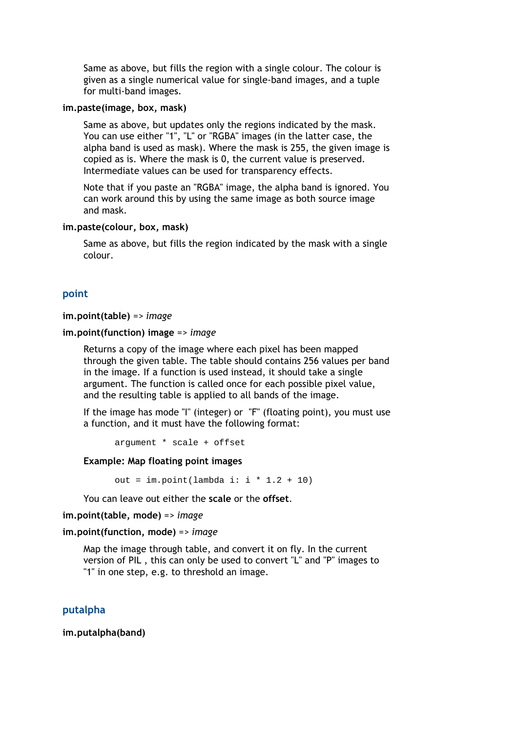Same as above, but fills the region with a single colour. The colour is given as a single numerical value for single-band images, and a tuple for multi-band images.

## **im.paste(image, box, mask)**

Same as above, but updates only the regions indicated by the mask. You can use either "1", "L" or "RGBA" images (in the latter case, the alpha band is used as mask). Where the mask is 255, the given image is copied as is. Where the mask is 0, the current value is preserved. Intermediate values can be used for transparency effects.

Note that if you paste an "RGBA" image, the alpha band is ignored. You can work around this by using the same image as both source image and mask.

## **im.paste(colour, box, mask)**

Same as above, but fills the region indicated by the mask with a single colour.

## **point**

## **im.point(table)** *=> image*

### **im.point(function) image** *=> image*

Returns a copy of the image where each pixel has been mapped through the given table. The table should contains 256 values per band in the image. If a function is used instead, it should take a single argument. The function is called once for each possible pixel value, and the resulting table is applied to all bands of the image.

If the image has mode "I" (integer) or "F" (floating point), you must use a function, and it must have the following format:

argument \* scale + offset

## **Example: Map floating point images**

out = im.point(lambda i:  $i * 1.2 + 10$ )

You can leave out either the **scale** or the **offset**.

## **im.point(table, mode)** *=> image*

### **im.point(function, mode)** *=> image*

Map the image through table, and convert it on fly. In the current version of PIL , this can only be used to convert "L" and "P" images to "1" in one step, e.g. to threshold an image.

## **putalpha**

**im.putalpha(band)**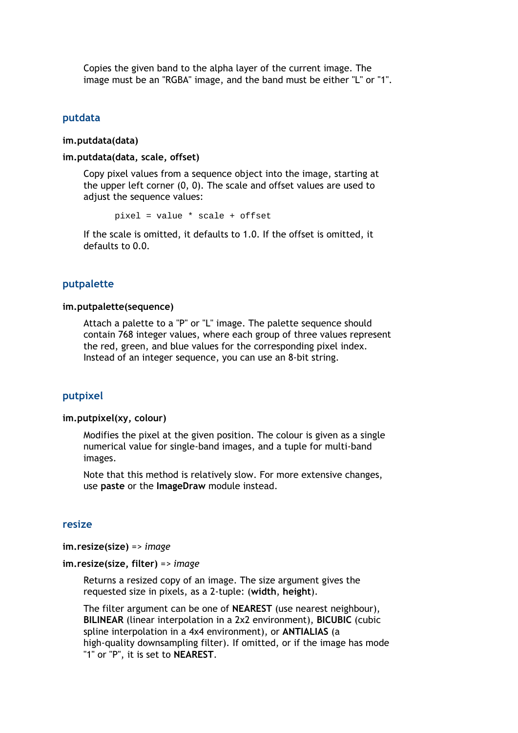Copies the given band to the alpha layer of the current image. The image must be an "RGBA" image, and the band must be either "L" or "1".

## **putdata**

#### **im.putdata(data)**

### **im.putdata(data, scale, offset)**

Copy pixel values from a sequence object into the image, starting at the upper left corner (0, 0). The scale and offset values are used to adjust the sequence values:

pixel = value \* scale + offset

If the scale is omitted, it defaults to 1.0. If the offset is omitted, it defaults to 0.0.

## **putpalette**

#### **im.putpalette(sequence)**

Attach a palette to a "P" or "L" image. The palette sequence should contain 768 integer values, where each group of three values represent the red, green, and blue values for the corresponding pixel index. Instead of an integer sequence, you can use an 8-bit string.

#### **putpixel**

#### **im.putpixel(xy, colour)**

Modifies the pixel at the given position. The colour is given as a single numerical value for single-band images, and a tuple for multi-band images.

Note that this method is relatively slow. For more extensive changes, use **paste** or the **ImageDraw** module instead.

## **resize**

**im.resize(size)** *=> image*

**im.resize(size, filter)** *=> image*

Returns a resized copy of an image. The size argument gives the requested size in pixels, as a 2-tuple: (**width**, **height**).

The filter argument can be one of **NEAREST** (use nearest neighbour), **BILINEAR** (linear interpolation in a 2x2 environment), **BICUBIC** (cubic spline interpolation in a 4x4 environment), or **ANTIALIAS** (a high-quality downsampling filter). If omitted, or if the image has mode "1" or "P", it is set to **NEAREST**.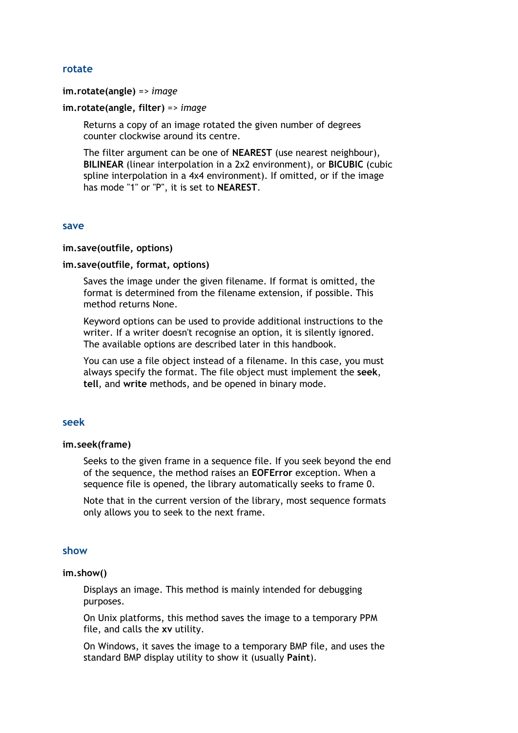#### **rotate**

**im.rotate(angle)** *=> image*

**im.rotate(angle, filter)** *=> image*

Returns a copy of an image rotated the given number of degrees counter clockwise around its centre.

The filter argument can be one of **NEAREST** (use nearest neighbour), **BILINEAR** (linear interpolation in a 2x2 environment), or **BICUBIC** (cubic spline interpolation in a 4x4 environment). If omitted, or if the image has mode "1" or "P", it is set to **NEAREST**.

## **save**

#### **im.save(outfile, options)**

#### **im.save(outfile, format, options)**

Saves the image under the given filename. If format is omitted, the format is determined from the filename extension, if possible. This method returns None.

Keyword options can be used to provide additional instructions to the writer. If a writer doesn't recognise an option, it is silently ignored. The available options are described later in this handbook.

You can use a file object instead of a filename. In this case, you must always specify the format. The file object must implement the **seek**, **tell**, and **write** methods, and be opened in binary mode.

#### **seek**

#### **im.seek(frame)**

Seeks to the given frame in a sequence file. If you seek beyond the end of the sequence, the method raises an **EOFError** exception. When a sequence file is opened, the library automatically seeks to frame 0.

Note that in the current version of the library, most sequence formats only allows you to seek to the next frame.

## **show**

## **im.show()**

Displays an image. This method is mainly intended for debugging purposes.

On Unix platforms, this method saves the image to a temporary PPM file, and calls the **xv** utility.

On Windows, it saves the image to a temporary BMP file, and uses the standard BMP display utility to show it (usually **Paint**).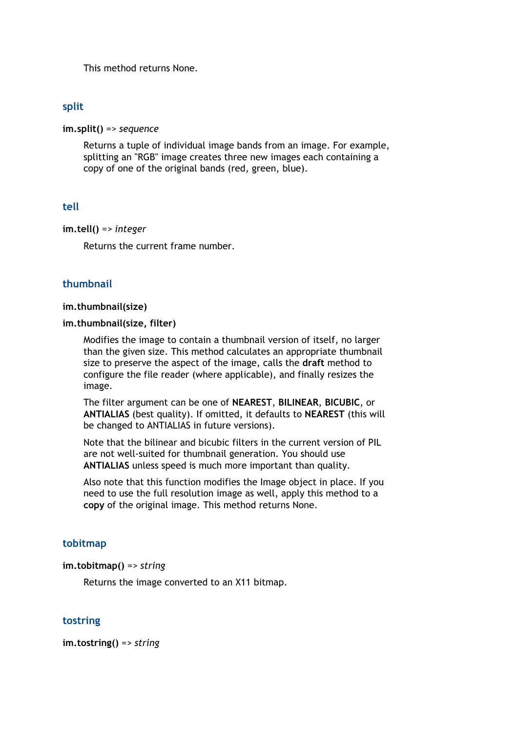This method returns None.

## **split**

**im.split()** *=> sequence*

Returns a tuple of individual image bands from an image. For example, splitting an "RGB" image creates three new images each containing a copy of one of the original bands (red, green, blue).

## **tell**

**im.tell()** *=> integer*

Returns the current frame number.

## **thumbnail**

## **im.thumbnail(size)**

## **im.thumbnail(size, filter)**

Modifies the image to contain a thumbnail version of itself, no larger than the given size. This method calculates an appropriate thumbnail size to preserve the aspect of the image, calls the **draft** method to configure the file reader (where applicable), and finally resizes the image.

The filter argument can be one of **NEAREST**, **BILINEAR**, **BICUBIC**, or **ANTIALIAS** (best quality). If omitted, it defaults to **NEAREST** (this will be changed to ANTIALIAS in future versions).

Note that the bilinear and bicubic filters in the current version of PIL are not well-suited for thumbnail generation. You should use **ANTIALIAS** unless speed is much more important than quality.

Also note that this function modifies the Image object in place. If you need to use the full resolution image as well, apply this method to a **copy** of the original image. This method returns None.

## **tobitmap**

**im.tobitmap()** *=> string*

Returns the image converted to an X11 bitmap.

## **tostring**

**im.tostring()** *=> string*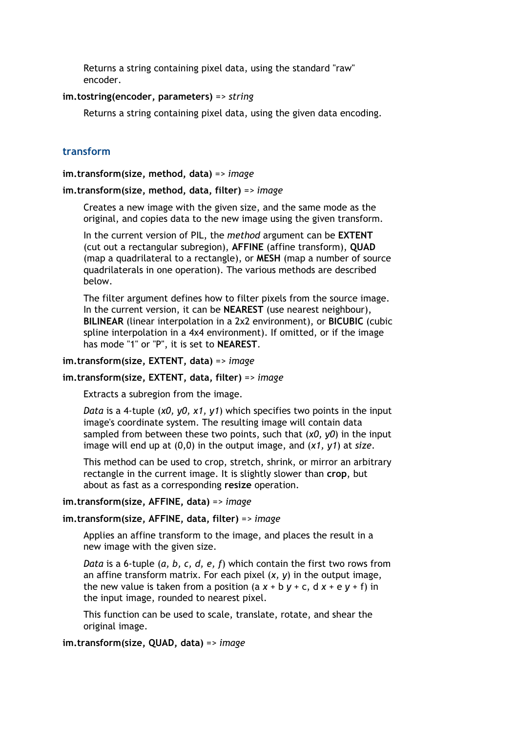Returns a string containing pixel data, using the standard "raw" encoder.

## **im.tostring(encoder, parameters)** *=> string*

Returns a string containing pixel data, using the given data encoding.

## **transform**

**im.transform(size, method, data)** *=> image*

**im.transform(size, method, data, filter)** *=> image*

Creates a new image with the given size, and the same mode as the original, and copies data to the new image using the given transform.

In the current version of PIL, the *method* argument can be **EXTENT** (cut out a rectangular subregion), **AFFINE** (affine transform), **QUAD** (map a quadrilateral to a rectangle), or **MESH** (map a number of source quadrilaterals in one operation). The various methods are described below.

The filter argument defines how to filter pixels from the source image. In the current version, it can be **NEAREST** (use nearest neighbour), **BILINEAR** (linear interpolation in a 2x2 environment), or **BICUBIC** (cubic spline interpolation in a 4x4 environment). If omitted, or if the image has mode "1" or "P", it is set to **NEAREST**.

## **im.transform(size, EXTENT, data)** *=> image*

**im.transform(size, EXTENT, data, filter)** *=> image*

Extracts a subregion from the image.

*Data* is a 4-tuple (*x0, y0, x1, y1*) which specifies two points in the input image's coordinate system. The resulting image will contain data sampled from between these two points, such that (*x0, y0*) in the input image will end up at (0,0) in the output image, and (*x1, y1*) at *size*.

This method can be used to crop, stretch, shrink, or mirror an arbitrary rectangle in the current image. It is slightly slower than **crop**, but about as fast as a corresponding **resize** operation.

**im.transform(size, AFFINE, data)** *=> image*

**im.transform(size, AFFINE, data, filter)** *=> image*

Applies an affine transform to the image, and places the result in a new image with the given size.

*Data* is a 6-tuple (*a, b, c, d, e, f*) which contain the first two rows from an affine transform matrix. For each pixel (*x, y*) in the output image, the new value is taken from a position (a  $x + b y + c$ , d  $x + e y + f$ ) in the input image, rounded to nearest pixel.

This function can be used to scale, translate, rotate, and shear the original image.

**im.transform(size, QUAD, data)** *=> image*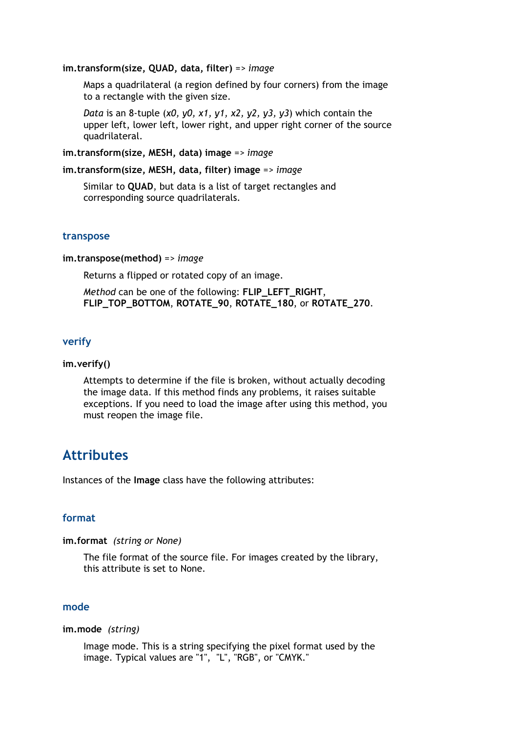### **im.transform(size, QUAD, data, filter)** *=> image*

Maps a quadrilateral (a region defined by four corners) from the image to a rectangle with the given size.

*Data* is an 8-tuple (*x0, y0, x1, y1, x2, y2, y3, y3*) which contain the upper left, lower left, lower right, and upper right corner of the source quadrilateral.

**im.transform(size, MESH, data) image** *=> image*

**im.transform(size, MESH, data, filter) image** *=> image*

Similar to **QUAD**, but data is a list of target rectangles and corresponding source quadrilaterals.

#### **transpose**

**im.transpose(method)** *=> image*

Returns a flipped or rotated copy of an image.

*Method* can be one of the following: **FLIP\_LEFT\_RIGHT**, **FLIP\_TOP\_BOTTOM**, **ROTATE\_90**, **ROTATE\_180**, or **ROTATE\_270**.

## **verify**

**im.verify()**

Attempts to determine if the file is broken, without actually decoding the image data. If this method finds any problems, it raises suitable exceptions. If you need to load the image after using this method, you must reopen the image file.

## **Attributes**

Instances of the **Image** class have the following attributes:

## **format**

**im.format** *(string or None)*

The file format of the source file. For images created by the library, this attribute is set to None.

## **mode**

**im.mode** *(string)*

Image mode. This is a string specifying the pixel format used by the image. Typical values are "1", "L", "RGB", or "CMYK."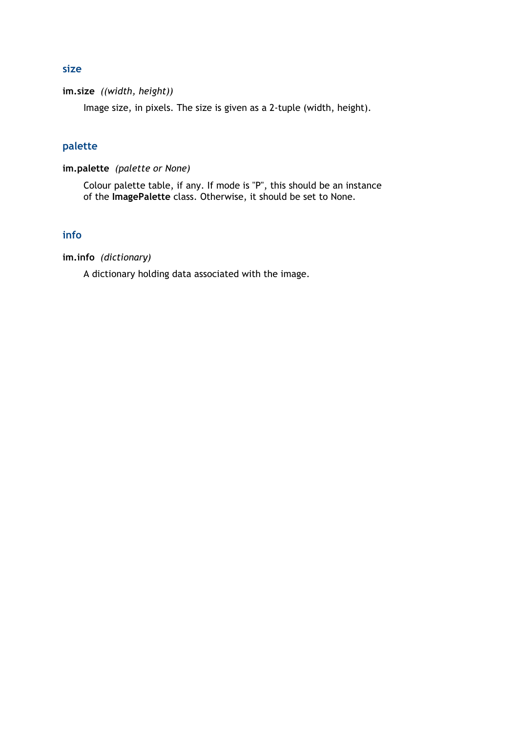## **size**

**im.size** *((width, height))*

Image size, in pixels. The size is given as a 2-tuple (width, height).

## **palette**

**im.palette** *(palette or None)*

Colour palette table, if any. If mode is "P", this should be an instance of the **ImagePalette** class. Otherwise, it should be set to None.

## **info**

**im.info** *(dictionary)*

A dictionary holding data associated with the image.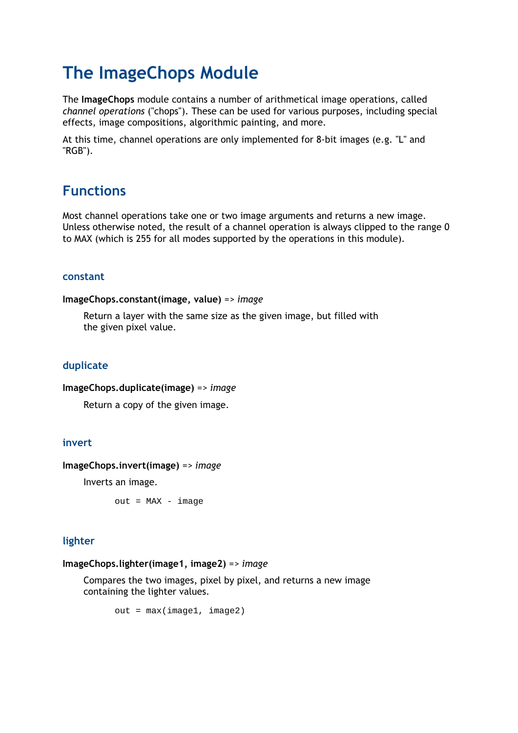# **The ImageChops Module**

The **ImageChops** module contains a number of arithmetical image operations, called *channel operations* ("chops"). These can be used for various purposes, including special effects, image compositions, algorithmic painting, and more.

At this time, channel operations are only implemented for 8-bit images (e.g. "L" and "RGB").

## **Functions**

Most channel operations take one or two image arguments and returns a new image. Unless otherwise noted, the result of a channel operation is always clipped to the range 0 to MAX (which is 255 for all modes supported by the operations in this module).

## **constant**

**ImageChops.constant(image, value)** *=> image*

Return a layer with the same size as the given image, but filled with the given pixel value.

## **duplicate**

```
ImageChops.duplicate(image) => image
```
Return a copy of the given image.

## **invert**

**ImageChops.invert(image)** *=> image*

Inverts an image.

 $out = MAX - image$ 

## **lighter**

**ImageChops.lighter(image1, image2)** *=> image*

Compares the two images, pixel by pixel, and returns a new image containing the lighter values.

 $out = max(imaqel, image2)$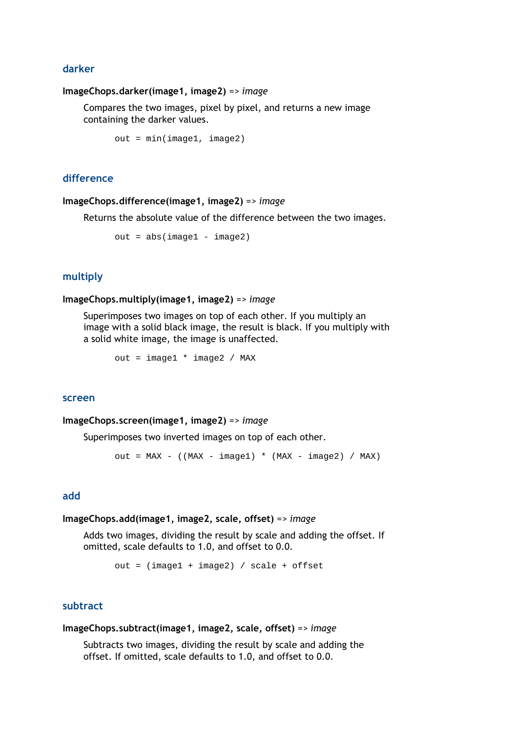### **darker**

```
ImageChops.darker(image1, image2) => image
```
Compares the two images, pixel by pixel, and returns a new image containing the darker values.

```
 out = min(image1, image2)
```
## **difference**

#### **ImageChops.difference(image1, image2)** *=> image*

Returns the absolute value of the difference between the two images.

```
 out = abs(image1 - image2)
```
## **multiply**

#### **ImageChops.multiply(image1, image2)** *=> image*

Superimposes two images on top of each other. If you multiply an image with a solid black image, the result is black. If you multiply with a solid white image, the image is unaffected.

```
 out = image1 * image2 / MAX
```
#### **screen**

#### **ImageChops.screen(image1, image2)** *=> image*

Superimposes two inverted images on top of each other.

 $out = MAX - ((MAX - image1) * (MAX - image2) / MAX)$ 

## **add**

#### **ImageChops.add(image1, image2, scale, offset)** *=> image*

Adds two images, dividing the result by scale and adding the offset. If omitted, scale defaults to 1.0, and offset to 0.0.

out = (image1 + image2) / scale + offset

## **subtract**

#### **ImageChops.subtract(image1, image2, scale, offset)** *=> image*

Subtracts two images, dividing the result by scale and adding the offset. If omitted, scale defaults to 1.0, and offset to 0.0.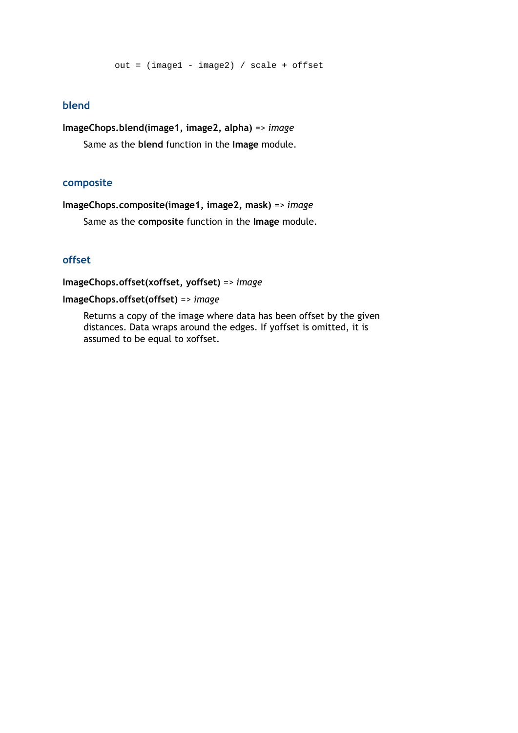out = (image1 - image2) / scale + offset

## **blend**

**ImageChops.blend(image1, image2, alpha)** *=> image* Same as the **blend** function in the **Image** module.

## **composite**

**ImageChops.composite(image1, image2, mask)** *=> image* Same as the **composite** function in the **Image** module.

## **offset**

**ImageChops.offset(xoffset, yoffset)** *=> image*

### **ImageChops.offset(offset)** *=> image*

Returns a copy of the image where data has been offset by the given distances. Data wraps around the edges. If yoffset is omitted, it is assumed to be equal to xoffset.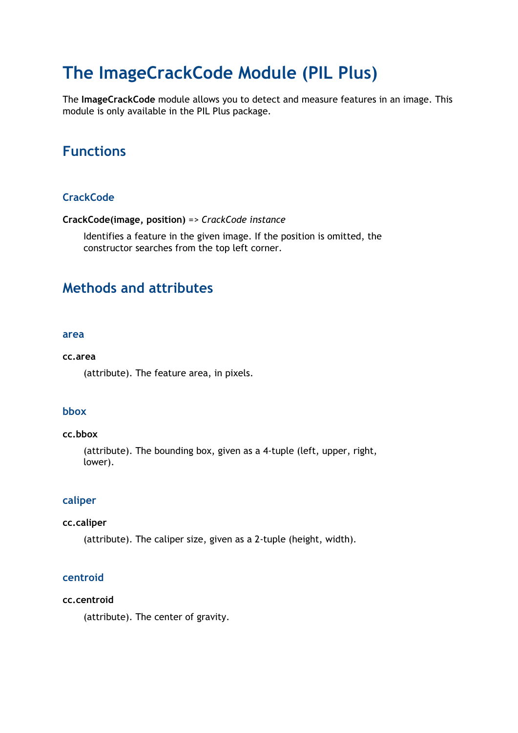# **The ImageCrackCode Module (PIL Plus)**

The **ImageCrackCode** module allows you to detect and measure features in an image. This module is only available in the PIL Plus package.

## **Functions**

## **CrackCode**

**CrackCode(image, position)** *=> CrackCode instance*

Identifies a feature in the given image. If the position is omitted, the constructor searches from the top left corner.

## **Methods and attributes**

#### **area**

## **cc.area**

(attribute). The feature area, in pixels.

## **bbox**

## **cc.bbox**

(attribute). The bounding box, given as a 4-tuple (left, upper, right, lower).

## **caliper**

## **cc.caliper**

(attribute). The caliper size, given as a 2-tuple (height, width).

## **centroid**

## **cc.centroid**

(attribute). The center of gravity.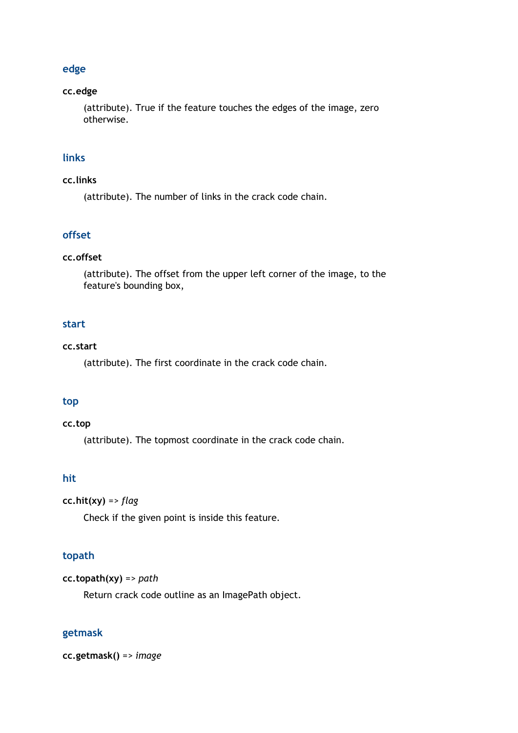## **edge**

## **cc.edge**

(attribute). True if the feature touches the edges of the image, zero otherwise.

## **links**

## **cc.links**

(attribute). The number of links in the crack code chain.

## **offset**

## **cc.offset**

(attribute). The offset from the upper left corner of the image, to the feature's bounding box,

## **start**

### **cc.start**

(attribute). The first coordinate in the crack code chain.

## **top**

## **cc.top**

(attribute). The topmost coordinate in the crack code chain.

## **hit**

## **cc.hit(xy)** *=> flag*

Check if the given point is inside this feature.

## **topath**

## **cc.topath(xy)** *=> path*

Return crack code outline as an ImagePath object.

## **getmask**

**cc.getmask()** *=> image*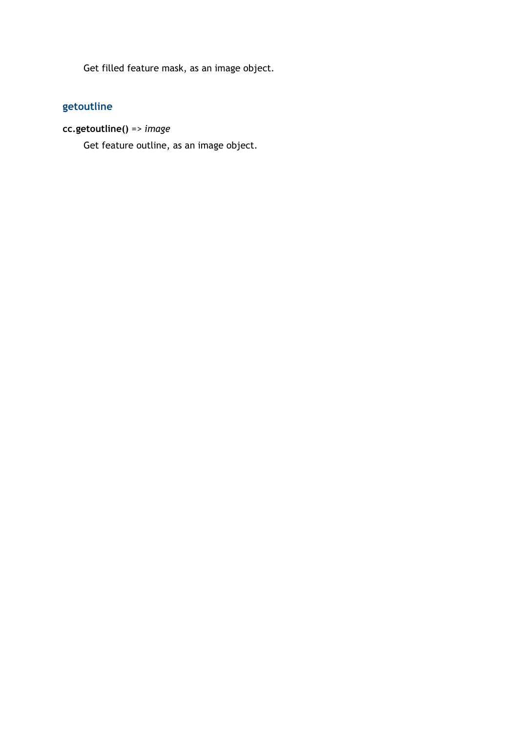Get filled feature mask, as an image object.

## **getoutline**

## **cc.getoutline()** *=> image*

Get feature outline, as an image object.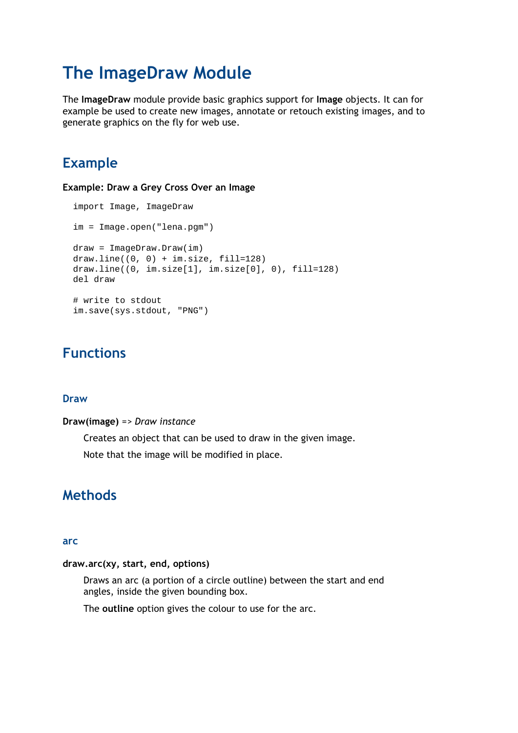# **The ImageDraw Module**

The **ImageDraw** module provide basic graphics support for **Image** objects. It can for example be used to create new images, annotate or retouch existing images, and to generate graphics on the fly for web use.

## **Example**

## **Example: Draw a Grey Cross Over an Image**

```
import Image, ImageDraw
im = Image.open("lena.pgm")
draw = ImageDraw.Draw(im)
drawu = (0, 0) + im.size, fill=128)draw.line((0, im.size[1], im.size[0], 0), fill=128)
del draw 
# write to stdout
im.save(sys.stdout, "PNG")
```
## **Functions**

### **Draw**

**Draw(image)** *=> Draw instance*

Creates an object that can be used to draw in the given image. Note that the image will be modified in place.

## **Methods**

### **arc**

**draw.arc(xy, start, end, options)**

Draws an arc (a portion of a circle outline) between the start and end angles, inside the given bounding box.

The **outline** option gives the colour to use for the arc.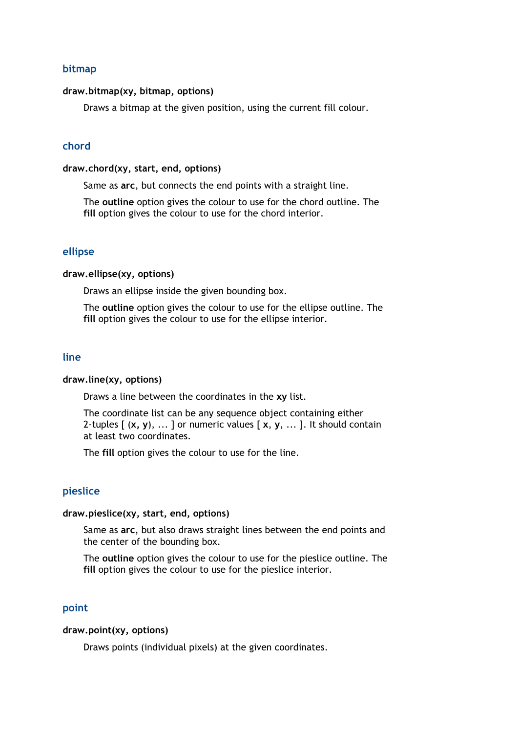## **bitmap**

### **draw.bitmap(xy, bitmap, options)**

Draws a bitmap at the given position, using the current fill colour.

## **chord**

#### **draw.chord(xy, start, end, options)**

Same as **arc**, but connects the end points with a straight line.

The **outline** option gives the colour to use for the chord outline. The **fill** option gives the colour to use for the chord interior.

### **ellipse**

## **draw.ellipse(xy, options)**

Draws an ellipse inside the given bounding box.

The **outline** option gives the colour to use for the ellipse outline. The **fill** option gives the colour to use for the ellipse interior.

## **line**

#### **draw.line(xy, options)**

Draws a line between the coordinates in the **xy** list.

The coordinate list can be any sequence object containing either 2-tuples [ (**x, y**), ... ] or numeric values [ **x**, **y**, ... ]. It should contain at least two coordinates.

The **fill** option gives the colour to use for the line.

## **pieslice**

#### **draw.pieslice(xy, start, end, options)**

Same as **arc**, but also draws straight lines between the end points and the center of the bounding box.

The **outline** option gives the colour to use for the pieslice outline. The **fill** option gives the colour to use for the pieslice interior.

#### **point**

### **draw.point(xy, options)**

Draws points (individual pixels) at the given coordinates.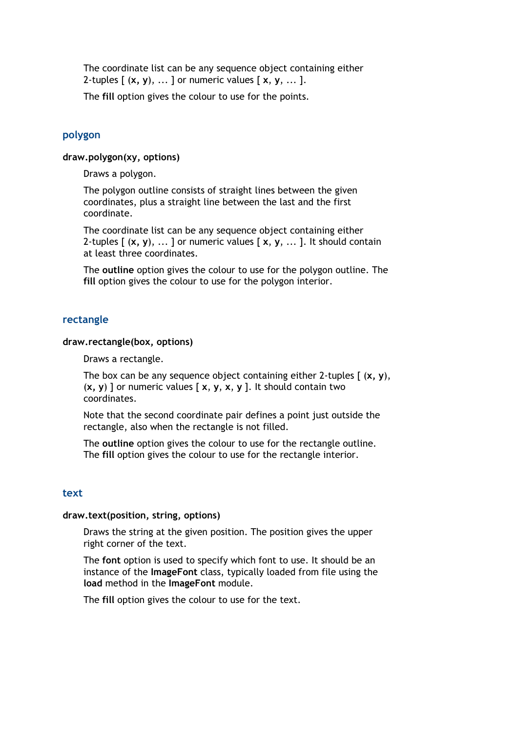The coordinate list can be any sequence object containing either 2-tuples [ (**x, y**), ... ] or numeric values [ **x**, **y**, ... ].

The **fill** option gives the colour to use for the points.

## **polygon**

## **draw.polygon(xy, options)**

Draws a polygon.

The polygon outline consists of straight lines between the given coordinates, plus a straight line between the last and the first coordinate.

The coordinate list can be any sequence object containing either 2-tuples [ (**x, y**), ... ] or numeric values [ **x**, **y**, ... ]. It should contain at least three coordinates.

The **outline** option gives the colour to use for the polygon outline. The **fill** option gives the colour to use for the polygon interior.

### **rectangle**

#### **draw.rectangle(box, options)**

Draws a rectangle.

The box can be any sequence object containing either 2-tuples [ (**x, y**), (**x, y**) ] or numeric values [ **x**, **y**, **x**, **y** ]. It should contain two coordinates.

Note that the second coordinate pair defines a point just outside the rectangle, also when the rectangle is not filled.

The **outline** option gives the colour to use for the rectangle outline. The **fill** option gives the colour to use for the rectangle interior.

### **text**

#### **draw.text(position, string, options)**

Draws the string at the given position. The position gives the upper right corner of the text.

The **font** option is used to specify which font to use. It should be an instance of the **ImageFont** class, typically loaded from file using the **load** method in the **ImageFont** module.

The **fill** option gives the colour to use for the text.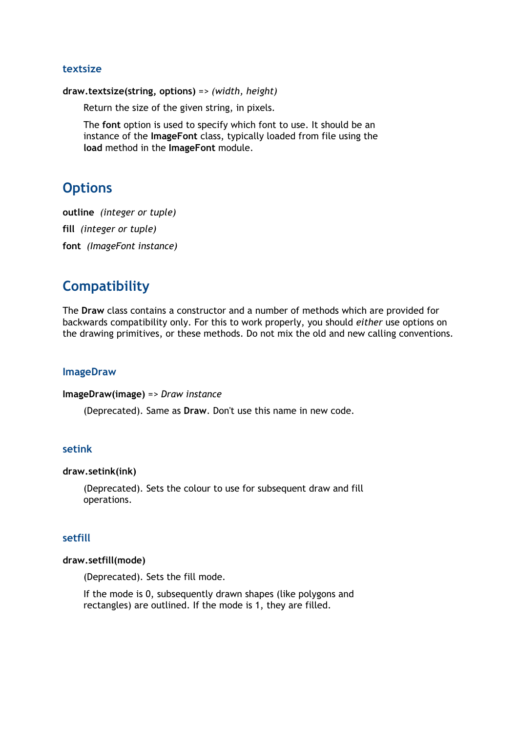## **textsize**

**draw.textsize(string, options)** *=> (width, height)*

Return the size of the given string, in pixels.

The **font** option is used to specify which font to use. It should be an instance of the **ImageFont** class, typically loaded from file using the **load** method in the **ImageFont** module.

## **Options**

**outline** *(integer or tuple)* **fill** *(integer or tuple)* **font** *(ImageFont instance)*

## **Compatibility**

The **Draw** class contains a constructor and a number of methods which are provided for backwards compatibility only. For this to work properly, you should *either* use options on the drawing primitives, or these methods. Do not mix the old and new calling conventions.

### **ImageDraw**

#### **ImageDraw(image)** *=> Draw instance*

(Deprecated). Same as **Draw**. Don't use this name in new code.

## **setink**

### **draw.setink(ink)**

(Deprecated). Sets the colour to use for subsequent draw and fill operations.

## **setfill**

### **draw.setfill(mode)**

(Deprecated). Sets the fill mode.

If the mode is 0, subsequently drawn shapes (like polygons and rectangles) are outlined. If the mode is 1, they are filled.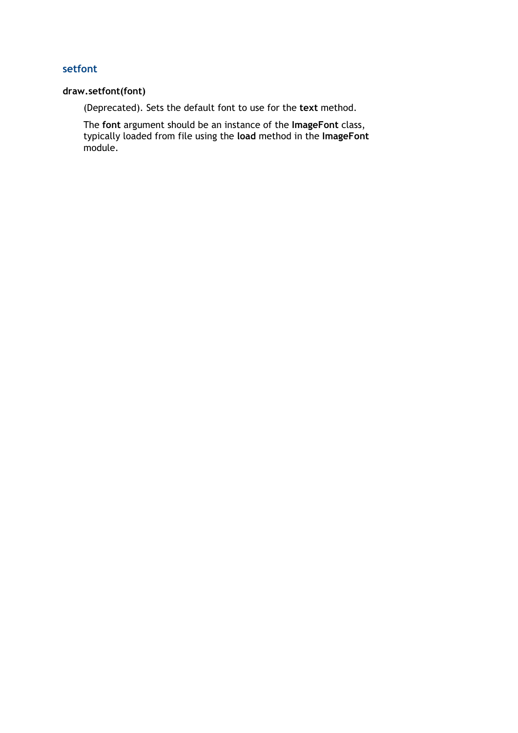## **setfont**

## **draw.setfont(font)**

(Deprecated). Sets the default font to use for the **text** method.

The **font** argument should be an instance of the **ImageFont** class, typically loaded from file using the **load** method in the **ImageFont** module.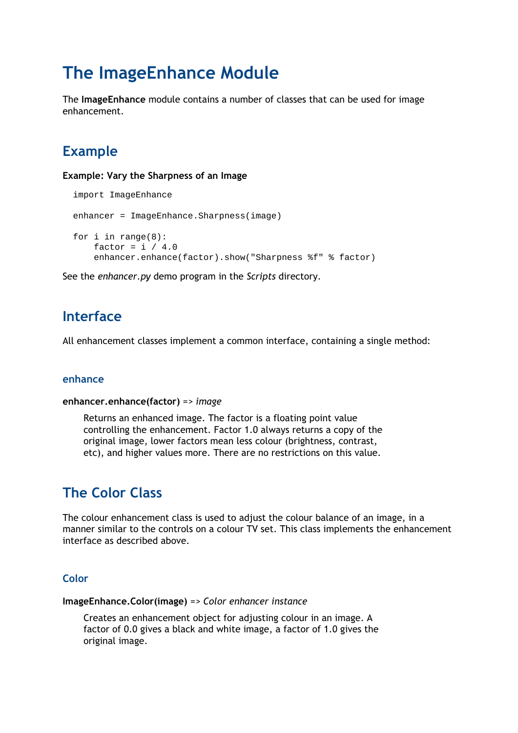# **The ImageEnhance Module**

The **ImageEnhance** module contains a number of classes that can be used for image enhancement.

## **Example**

### **Example: Vary the Sharpness of an Image**

```
import ImageEnhance
enhancer = ImageEnhance.Sharpness(image)
for i in range(8):
    factor = i / 4.0enhancer.enhance(factor).show("Sharpness f'' & factor)
```
See the *enhancer.py* demo program in the *Scripts* directory.

## **Interface**

All enhancement classes implement a common interface, containing a single method:

### **enhance**

#### **enhancer.enhance(factor)** *=> image*

Returns an enhanced image. The factor is a floating point value controlling the enhancement. Factor 1.0 always returns a copy of the original image, lower factors mean less colour (brightness, contrast, etc), and higher values more. There are no restrictions on this value.

## **The Color Class**

The colour enhancement class is used to adjust the colour balance of an image, in a manner similar to the controls on a colour TV set. This class implements the enhancement interface as described above.

### **Color**

**ImageEnhance.Color(image)** *=> Color enhancer instance*

Creates an enhancement object for adjusting colour in an image. A factor of 0.0 gives a black and white image, a factor of 1.0 gives the original image.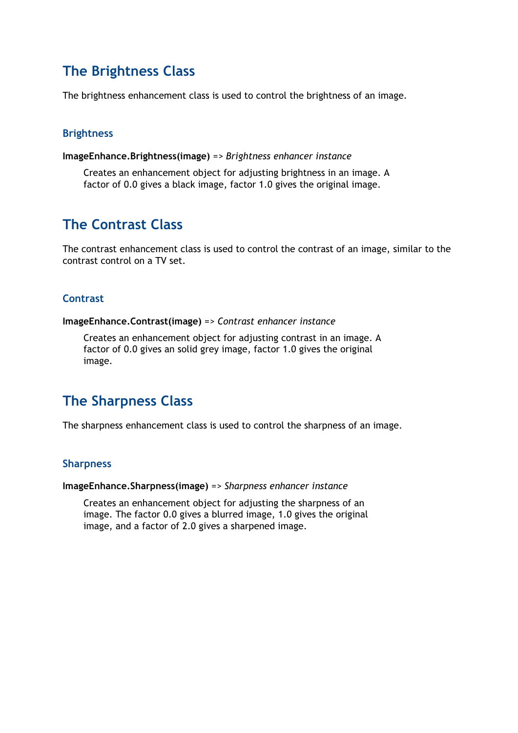## **The Brightness Class**

The brightness enhancement class is used to control the brightness of an image.

## **Brightness**

**ImageEnhance.Brightness(image)** *=> Brightness enhancer instance*

Creates an enhancement object for adjusting brightness in an image. A factor of 0.0 gives a black image, factor 1.0 gives the original image.

## **The Contrast Class**

The contrast enhancement class is used to control the contrast of an image, similar to the contrast control on a TV set.

## **Contrast**

**ImageEnhance.Contrast(image)** *=> Contrast enhancer instance*

Creates an enhancement object for adjusting contrast in an image. A factor of 0.0 gives an solid grey image, factor 1.0 gives the original image.

# **The Sharpness Class**

The sharpness enhancement class is used to control the sharpness of an image.

## **Sharpness**

### **ImageEnhance.Sharpness(image)** *=> Sharpness enhancer instance*

Creates an enhancement object for adjusting the sharpness of an image. The factor 0.0 gives a blurred image, 1.0 gives the original image, and a factor of 2.0 gives a sharpened image.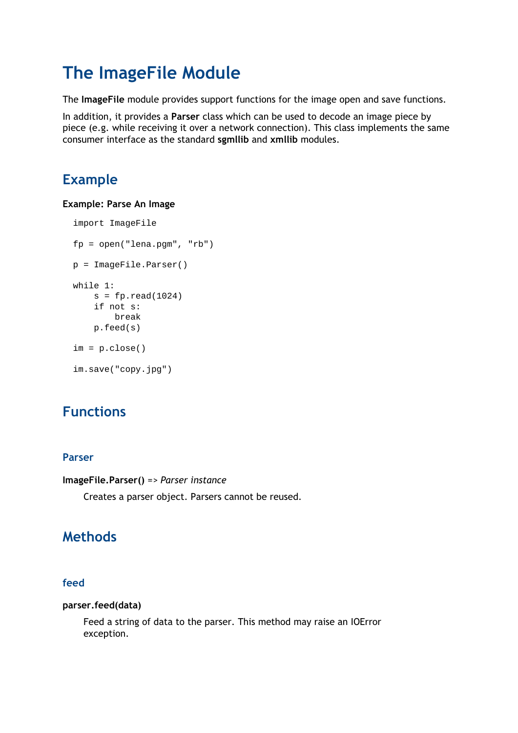# **The ImageFile Module**

The **ImageFile** module provides support functions for the image open and save functions.

In addition, it provides a **Parser** class which can be used to decode an image piece by piece (e.g. while receiving it over a network connection). This class implements the same consumer interface as the standard **sgmllib** and **xmllib** modules.

# **Example**

### **Example: Parse An Image**

```
import ImageFile
fp = open("lena.pqm", "rb")p = ImageFile.Parser()
while 1:
    s = fp.read(1024)
     if not s:
        break
     p.feed(s)
im = p.close()im.save("copy.jpg")
```
# **Functions**

## **Parser**

```
ImageFile.Parser() => Parser instance
```
Creates a parser object. Parsers cannot be reused.

# **Methods**

## **feed**

## **parser.feed(data)**

Feed a string of data to the parser. This method may raise an IOError exception.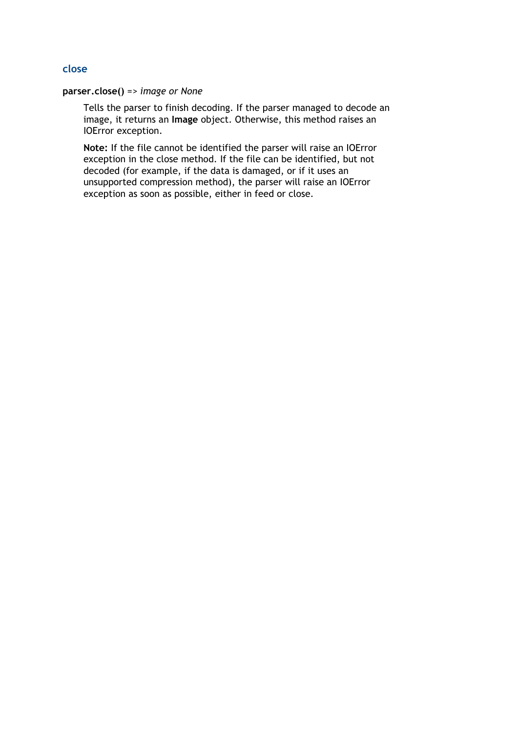### **close**

### **parser.close()** *=> image or None*

Tells the parser to finish decoding. If the parser managed to decode an image, it returns an **Image** object. Otherwise, this method raises an IOError exception.

**Note:** If the file cannot be identified the parser will raise an IOError exception in the close method. If the file can be identified, but not decoded (for example, if the data is damaged, or if it uses an unsupported compression method), the parser will raise an IOError exception as soon as possible, either in feed or close.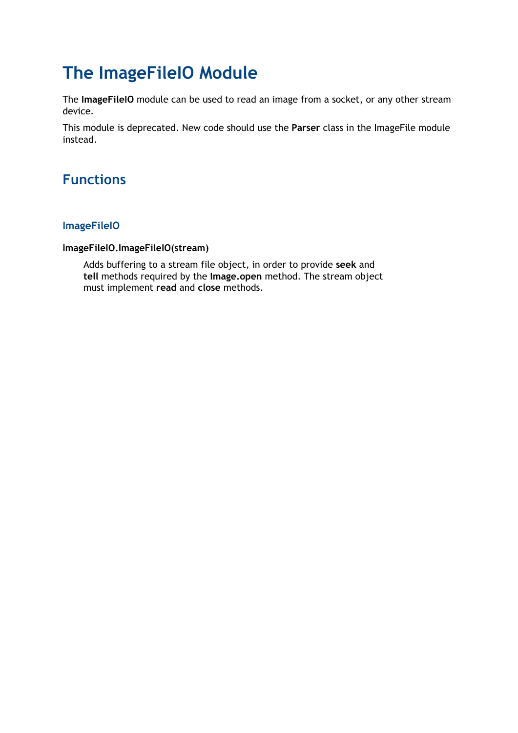# **The ImageFileIO Module**

The **ImageFileIO** module can be used to read an image from a socket, or any other stream device.

This module is deprecated. New code should use the **Parser** class in the ImageFile module instead.

# **Functions**

## **ImageFileIO**

### **ImageFileIO.ImageFileIO(stream)**

Adds buffering to a stream file object, in order to provide **seek** and **tell** methods required by the **Image.open** method. The stream object must implement **read** and **close** methods.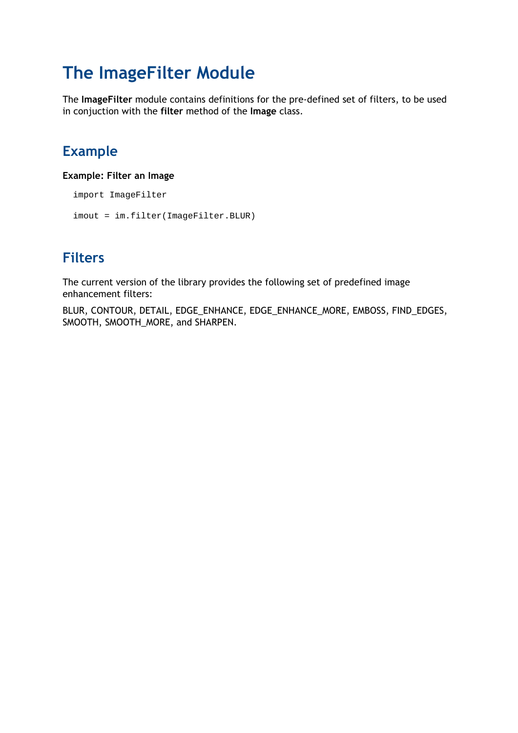# **The ImageFilter Module**

The **ImageFilter** module contains definitions for the pre-defined set of filters, to be used in conjuction with the **filter** method of the **Image** class.

# **Example**

### **Example: Filter an Image**

import ImageFilter imout = im.filter(ImageFilter.BLUR)

## **Filters**

The current version of the library provides the following set of predefined image enhancement filters:

BLUR, CONTOUR, DETAIL, EDGE\_ENHANCE, EDGE\_ENHANCE\_MORE, EMBOSS, FIND\_EDGES, SMOOTH, SMOOTH\_MORE, and SHARPEN.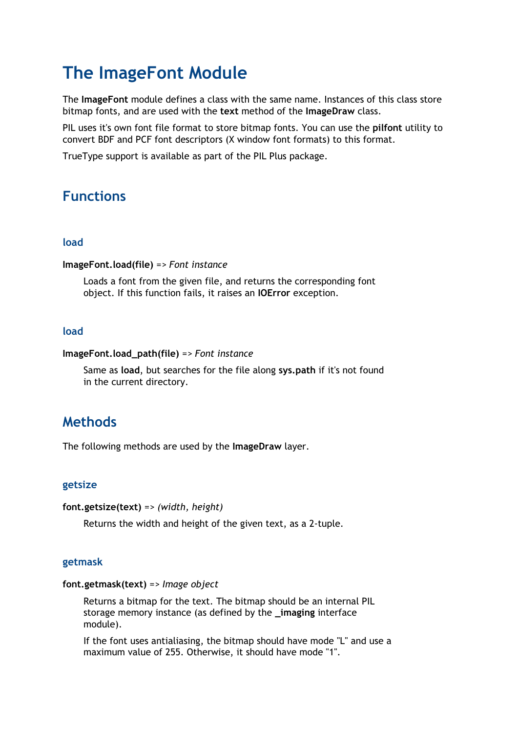# **The ImageFont Module**

The **ImageFont** module defines a class with the same name. Instances of this class store bitmap fonts, and are used with the **text** method of the **ImageDraw** class.

PIL uses it's own font file format to store bitmap fonts. You can use the **pilfont** utility to convert BDF and PCF font descriptors (X window font formats) to this format.

TrueType support is available as part of the PIL Plus package.

## **Functions**

### **load**

### **ImageFont.load(file)** *=> Font instance*

Loads a font from the given file, and returns the corresponding font object. If this function fails, it raises an **IOError** exception.

### **load**

```
ImageFont.load_path(file) => Font instance
```
Same as **load**, but searches for the file along **sys.path** if it's not found in the current directory.

## **Methods**

The following methods are used by the **ImageDraw** layer.

### **getsize**

```
font.getsize(text) => (width, height)
```
Returns the width and height of the given text, as a 2-tuple.

### **getmask**

### **font.getmask(text)** *=> Image object*

Returns a bitmap for the text. The bitmap should be an internal PIL storage memory instance (as defined by the **\_imaging** interface module).

If the font uses antialiasing, the bitmap should have mode "L" and use a maximum value of 255. Otherwise, it should have mode "1".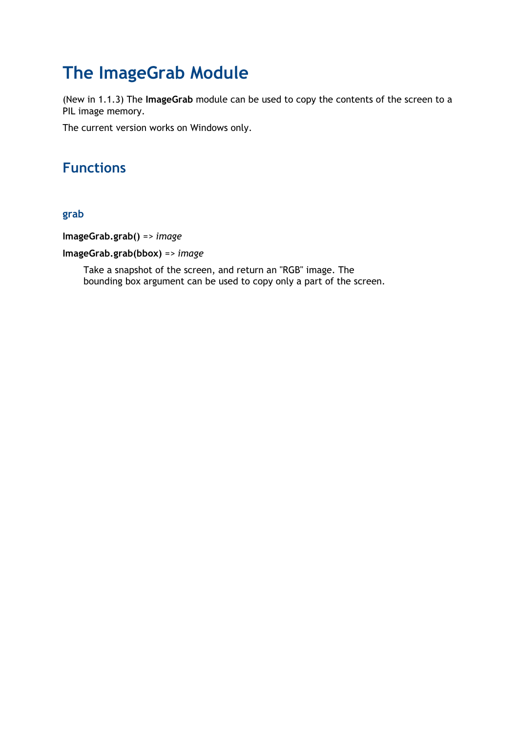# **The ImageGrab Module**

(New in 1.1.3) The **ImageGrab** module can be used to copy the contents of the screen to a PIL image memory.

The current version works on Windows only.

# **Functions**

**grab**

**ImageGrab.grab()** *=> image*

### **ImageGrab.grab(bbox)** *=> image*

Take a snapshot of the screen, and return an "RGB" image. The bounding box argument can be used to copy only a part of the screen.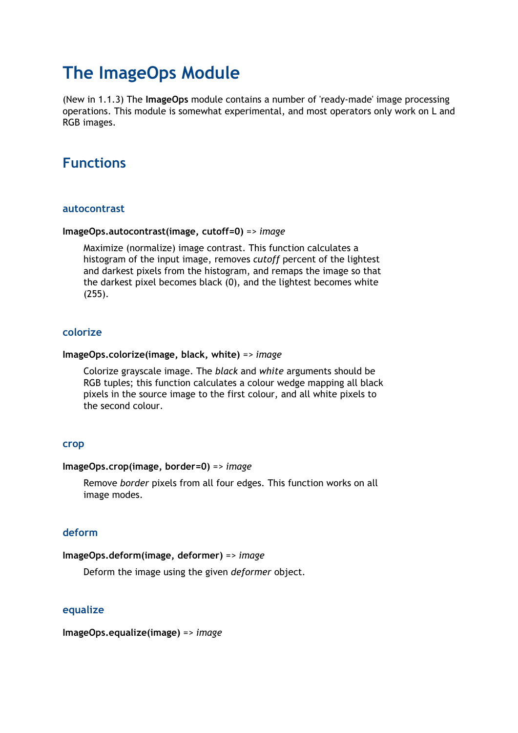# **The ImageOps Module**

(New in 1.1.3) The **ImageOps** module contains a number of 'ready-made' image processing operations. This module is somewhat experimental, and most operators only work on L and RGB images.

## **Functions**

### **autocontrast**

### **ImageOps.autocontrast(image, cutoff=0)** *=> image*

Maximize (normalize) image contrast. This function calculates a histogram of the input image, removes *cutoff* percent of the lightest and darkest pixels from the histogram, and remaps the image so that the darkest pixel becomes black (0), and the lightest becomes white (255).

### **colorize**

#### **ImageOps.colorize(image, black, white)** *=> image*

Colorize grayscale image. The *black* and *white* arguments should be RGB tuples; this function calculates a colour wedge mapping all black pixels in the source image to the first colour, and all white pixels to the second colour.

### **crop**

### **ImageOps.crop(image, border=0)** *=> image*

Remove *border* pixels from all four edges. This function works on all image modes.

### **deform**

### **ImageOps.deform(image, deformer)** *=> image*

Deform the image using the given *deformer* object.

### **equalize**

**ImageOps.equalize(image)** *=> image*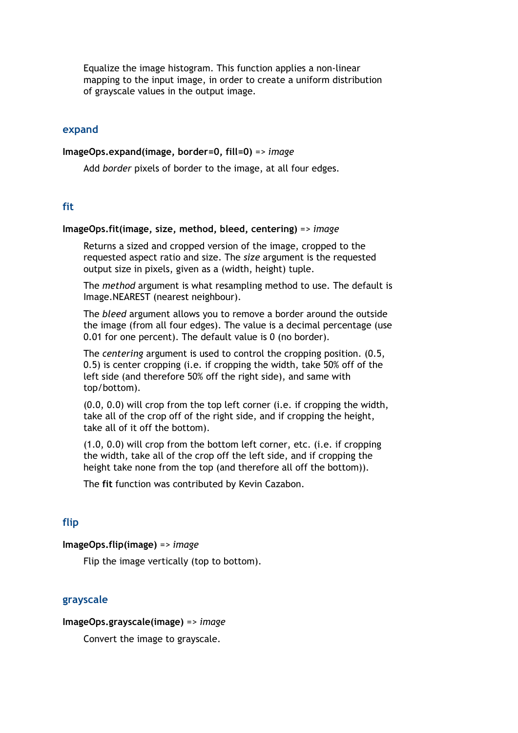Equalize the image histogram. This function applies a non-linear mapping to the input image, in order to create a uniform distribution of grayscale values in the output image.

### **expand**

### **ImageOps.expand(image, border=0, fill=0)** *=> image*

Add *border* pixels of border to the image, at all four edges.

### **fit**

### **ImageOps.fit(image, size, method, bleed, centering)** *=> image*

Returns a sized and cropped version of the image, cropped to the requested aspect ratio and size. The *size* argument is the requested output size in pixels, given as a (width, height) tuple.

The *method* argument is what resampling method to use. The default is Image.NEAREST (nearest neighbour).

The *bleed* argument allows you to remove a border around the outside the image (from all four edges). The value is a decimal percentage (use 0.01 for one percent). The default value is 0 (no border).

The *centering* argument is used to control the cropping position. (0.5, 0.5) is center cropping (i.e. if cropping the width, take 50% off of the left side (and therefore 50% off the right side), and same with top/bottom).

(0.0, 0.0) will crop from the top left corner (i.e. if cropping the width, take all of the crop off of the right side, and if cropping the height, take all of it off the bottom).

(1.0, 0.0) will crop from the bottom left corner, etc. (i.e. if cropping the width, take all of the crop off the left side, and if cropping the height take none from the top (and therefore all off the bottom)).

The **fit** function was contributed by Kevin Cazabon.

### **flip**

#### **ImageOps.flip(image)** *=> image*

Flip the image vertically (top to bottom).

### **grayscale**

**ImageOps.grayscale(image)** *=> image*

Convert the image to grayscale.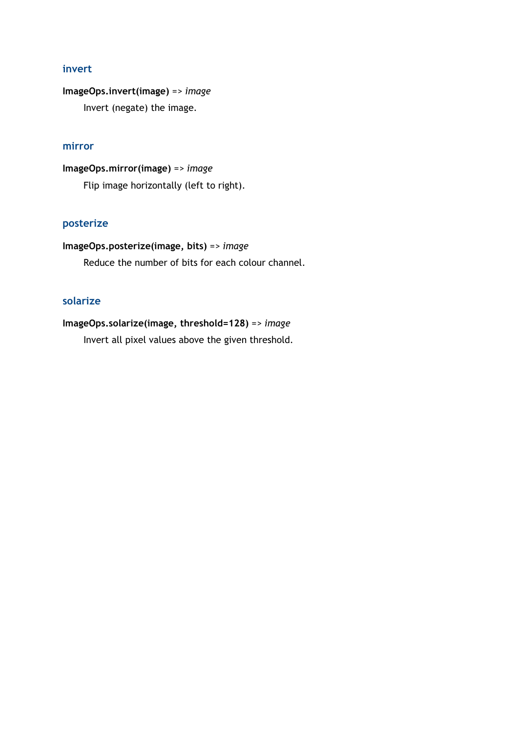### **invert**

**ImageOps.invert(image)** *=> image* Invert (negate) the image.

## **mirror**

**ImageOps.mirror(image)** *=> image* Flip image horizontally (left to right).

## **posterize**

## **ImageOps.posterize(image, bits)** *=> image* Reduce the number of bits for each colour channel.

### **solarize**

**ImageOps.solarize(image, threshold=128)** *=> image* Invert all pixel values above the given threshold.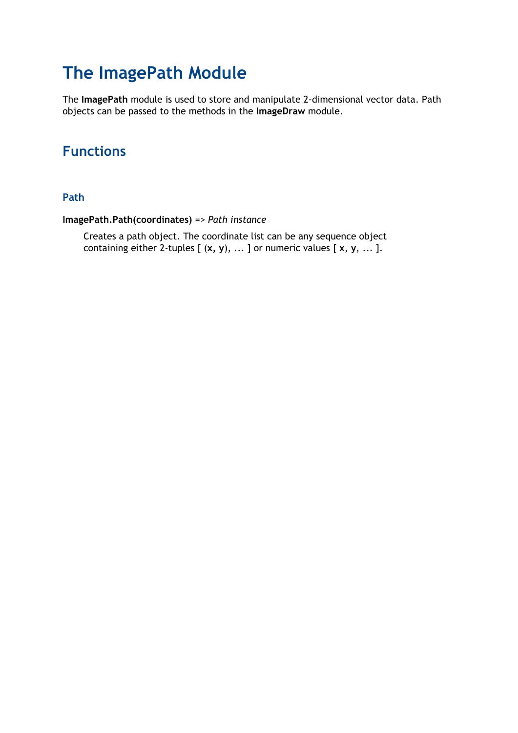# **The ImagePath Module**

The **ImagePath** module is used to store and manipulate 2-dimensional vector data. Path objects can be passed to the methods in the **ImageDraw** module.

## **Functions**

### **Path**

### **ImagePath.Path(coordinates)** *=> Path instance*

Creates a path object. The coordinate list can be any sequence object containing either 2-tuples [ (**x, y**), ... ] or numeric values [ **x**, **y**, ... ].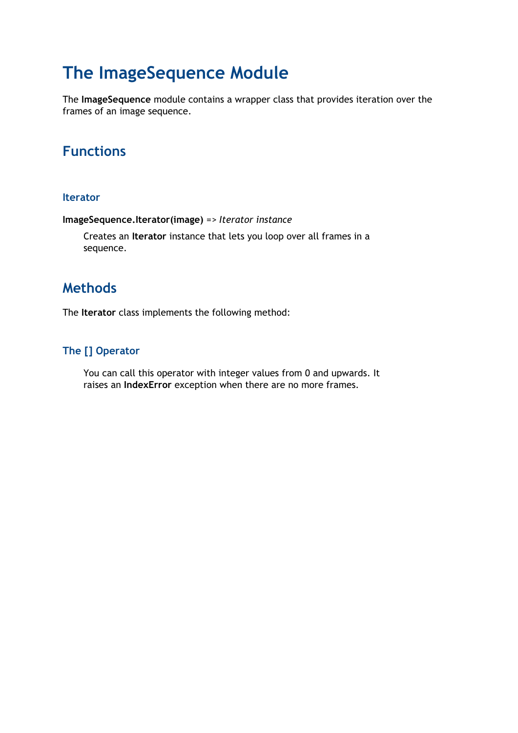# **The ImageSequence Module**

The **ImageSequence** module contains a wrapper class that provides iteration over the frames of an image sequence.

## **Functions**

### **Iterator**

**ImageSequence.Iterator(image)** *=> Iterator instance*

Creates an **Iterator** instance that lets you loop over all frames in a sequence.

## **Methods**

The **Iterator** class implements the following method:

## **The [] Operator**

You can call this operator with integer values from 0 and upwards. It raises an **IndexError** exception when there are no more frames.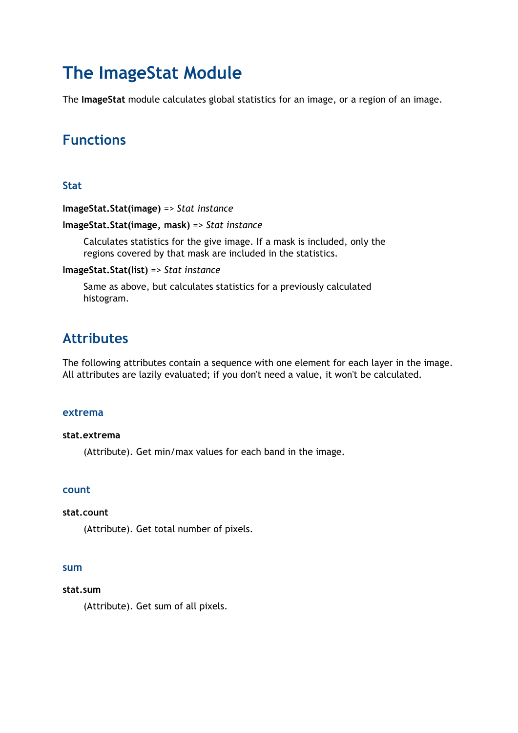# **The ImageStat Module**

The **ImageStat** module calculates global statistics for an image, or a region of an image.

# **Functions**

## **Stat**

**ImageStat.Stat(image)** *=> Stat instance*

### **ImageStat.Stat(image, mask)** *=> Stat instance*

Calculates statistics for the give image. If a mask is included, only the regions covered by that mask are included in the statistics.

**ImageStat.Stat(list)** *=> Stat instance*

Same as above, but calculates statistics for a previously calculated histogram.

## **Attributes**

The following attributes contain a sequence with one element for each layer in the image. All attributes are lazily evaluated; if you don't need a value, it won't be calculated.

### **extrema**

### **stat.extrema**

(Attribute). Get min/max values for each band in the image.

### **count**

### **stat.count**

(Attribute). Get total number of pixels.

### **sum**

### **stat.sum**

(Attribute). Get sum of all pixels.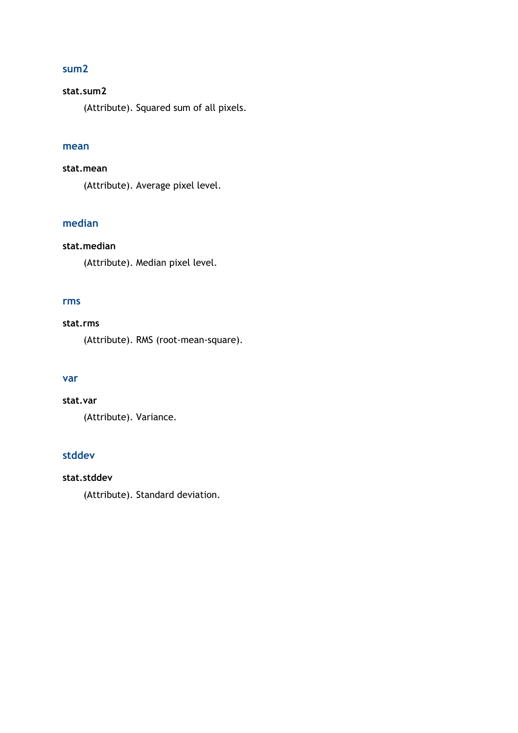### **sum2**

### **stat.sum2**

(Attribute). Squared sum of all pixels.

### **mean**

### **stat.mean**

(Attribute). Average pixel level.

### **median**

### **stat.median**

(Attribute). Median pixel level.

## **rms**

**stat.rms** (Attribute). RMS (root-mean-square).

### **var**

**stat.var** (Attribute). Variance.

## **stddev**

### **stat.stddev**

(Attribute). Standard deviation.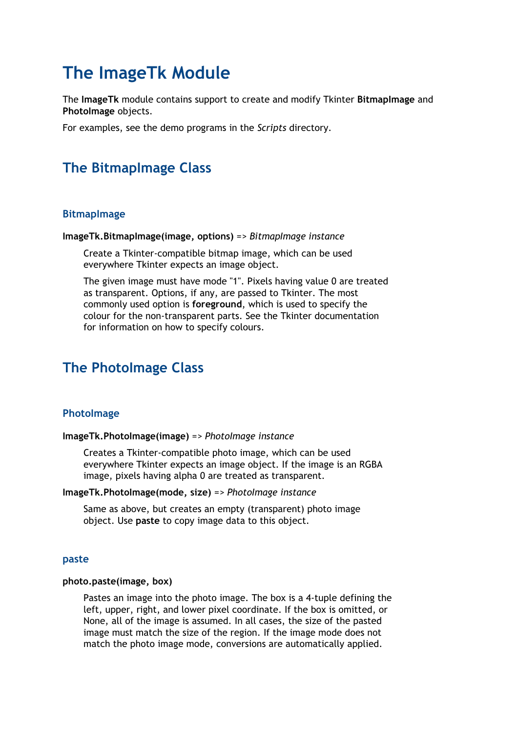# **The ImageTk Module**

The **ImageTk** module contains support to create and modify Tkinter **BitmapImage** and **PhotoImage** objects.

For examples, see the demo programs in the *Scripts* directory.

## **The BitmapImage Class**

### **BitmapImage**

#### **ImageTk.BitmapImage(image, options)** *=> BitmapImage instance*

Create a Tkinter-compatible bitmap image, which can be used everywhere Tkinter expects an image object.

The given image must have mode "1". Pixels having value 0 are treated as transparent. Options, if any, are passed to Tkinter. The most commonly used option is **foreground**, which is used to specify the colour for the non-transparent parts. See the Tkinter documentation for information on how to specify colours.

## **The PhotoImage Class**

### **PhotoImage**

#### **ImageTk.PhotoImage(image)** *=> PhotoImage instance*

Creates a Tkinter-compatible photo image, which can be used everywhere Tkinter expects an image object. If the image is an RGBA image, pixels having alpha 0 are treated as transparent.

### **ImageTk.PhotoImage(mode, size)** *=> PhotoImage instance*

Same as above, but creates an empty (transparent) photo image object. Use **paste** to copy image data to this object.

#### **paste**

#### **photo.paste(image, box)**

Pastes an image into the photo image. The box is a 4-tuple defining the left, upper, right, and lower pixel coordinate. If the box is omitted, or None, all of the image is assumed. In all cases, the size of the pasted image must match the size of the region. If the image mode does not match the photo image mode, conversions are automatically applied.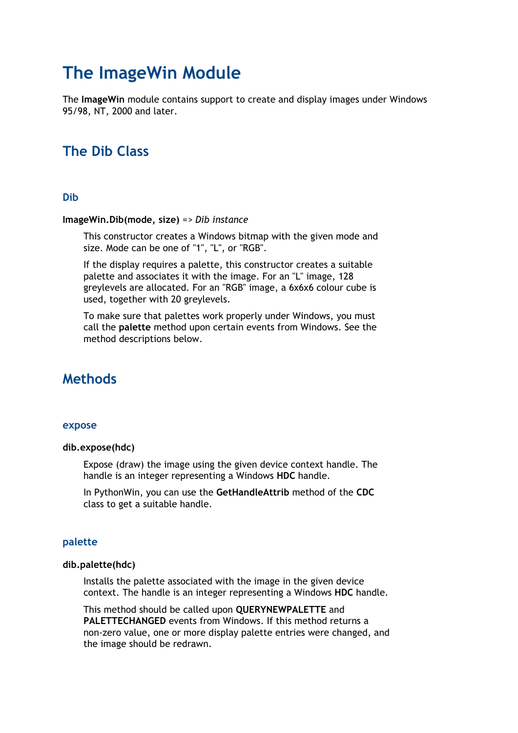# **The ImageWin Module**

The **ImageWin** module contains support to create and display images under Windows 95/98, NT, 2000 and later.

## **The Dib Class**

#### **Dib**

#### **ImageWin.Dib(mode, size)** *=> Dib instance*

This constructor creates a Windows bitmap with the given mode and size. Mode can be one of "1", "L", or "RGB".

If the display requires a palette, this constructor creates a suitable palette and associates it with the image. For an "L" image, 128 greylevels are allocated. For an "RGB" image, a 6x6x6 colour cube is used, together with 20 greylevels.

To make sure that palettes work properly under Windows, you must call the **palette** method upon certain events from Windows. See the method descriptions below.

## **Methods**

### **expose**

### **dib.expose(hdc)**

Expose (draw) the image using the given device context handle. The handle is an integer representing a Windows **HDC** handle.

In PythonWin, you can use the **GetHandleAttrib** method of the **CDC** class to get a suitable handle.

### **palette**

#### **dib.palette(hdc)**

Installs the palette associated with the image in the given device context. The handle is an integer representing a Windows **HDC** handle.

This method should be called upon **QUERYNEWPALETTE** and **PALETTECHANGED** events from Windows. If this method returns a non-zero value, one or more display palette entries were changed, and the image should be redrawn.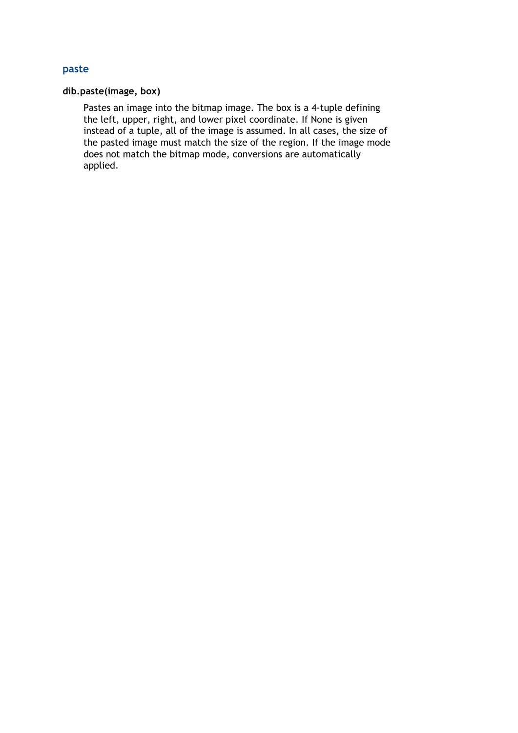### **paste**

### **dib.paste(image, box)**

Pastes an image into the bitmap image. The box is a 4-tuple defining the left, upper, right, and lower pixel coordinate. If None is given instead of a tuple, all of the image is assumed. In all cases, the size of the pasted image must match the size of the region. If the image mode does not match the bitmap mode, conversions are automatically applied.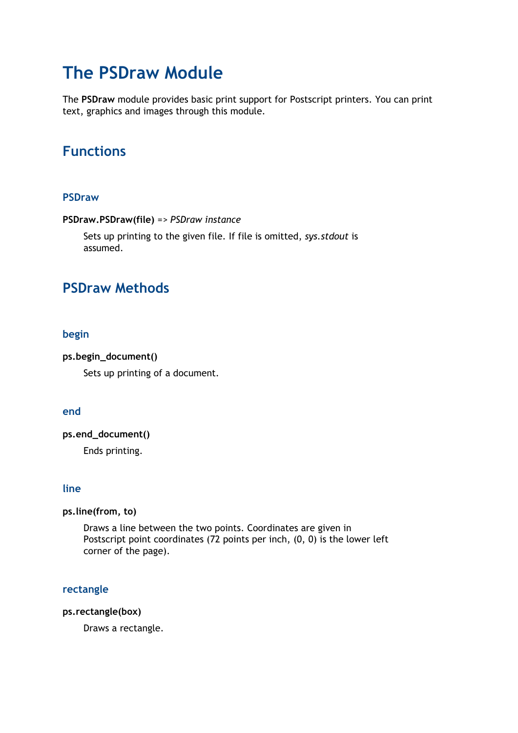# **The PSDraw Module**

The **PSDraw** module provides basic print support for Postscript printers. You can print text, graphics and images through this module.

## **Functions**

### **PSDraw**

#### **PSDraw.PSDraw(file)** *=> PSDraw instance*

Sets up printing to the given file. If file is omitted, *sys.stdout* is assumed.

## **PSDraw Methods**

### **begin**

## **ps.begin\_document()**

Sets up printing of a document.

### **end**

### **ps.end\_document()**

Ends printing.

### **line**

### **ps.line(from, to)**

Draws a line between the two points. Coordinates are given in Postscript point coordinates (72 points per inch,  $(0, 0)$  is the lower left corner of the page).

### **rectangle**

### **ps.rectangle(box)**

Draws a rectangle.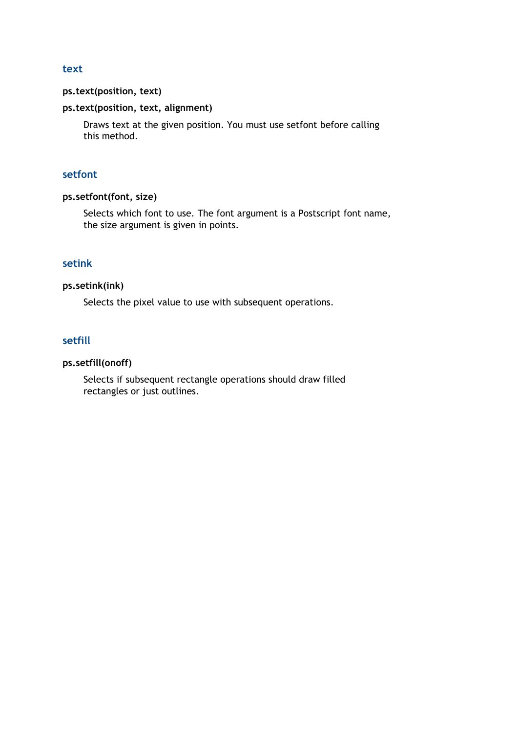### **text**

### **ps.text(position, text)**

### **ps.text(position, text, alignment)**

Draws text at the given position. You must use setfont before calling this method.

### **setfont**

### **ps.setfont(font, size)**

Selects which font to use. The font argument is a Postscript font name, the size argument is given in points.

## **setink**

### **ps.setink(ink)**

Selects the pixel value to use with subsequent operations.

## **setfill**

### **ps.setfill(onoff)**

Selects if subsequent rectangle operations should draw filled rectangles or just outlines.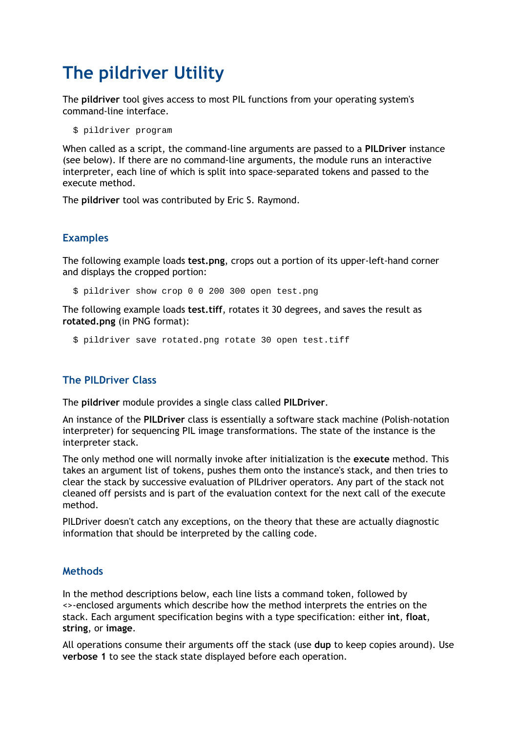# **The pildriver Utility**

The **pildriver** tool gives access to most PIL functions from your operating system's command-line interface.

\$ pildriver program

When called as a script, the command-line arguments are passed to a **PILDriver** instance (see below). If there are no command-line arguments, the module runs an interactive interpreter, each line of which is split into space-separated tokens and passed to the execute method.

The **pildriver** tool was contributed by Eric S. Raymond.

## **Examples**

The following example loads **test.png**, crops out a portion of its upper-left-hand corner and displays the cropped portion:

\$ pildriver show crop 0 0 200 300 open test.png

The following example loads **test.tiff**, rotates it 30 degrees, and saves the result as **rotated.png** (in PNG format):

\$ pildriver save rotated.png rotate 30 open test.tiff

## **The PILDriver Class**

The **pildriver** module provides a single class called **PILDriver**.

An instance of the **PILDriver** class is essentially a software stack machine (Polish-notation interpreter) for sequencing PIL image transformations. The state of the instance is the interpreter stack.

The only method one will normally invoke after initialization is the **execute** method. This takes an argument list of tokens, pushes them onto the instance's stack, and then tries to clear the stack by successive evaluation of PILdriver operators. Any part of the stack not cleaned off persists and is part of the evaluation context for the next call of the execute method.

PILDriver doesn't catch any exceptions, on the theory that these are actually diagnostic information that should be interpreted by the calling code.

### **Methods**

In the method descriptions below, each line lists a command token, followed by <>-enclosed arguments which describe how the method interprets the entries on the stack. Each argument specification begins with a type specification: either **int**, **float**, **string**, or **image**.

All operations consume their arguments off the stack (use **dup** to keep copies around). Use **verbose 1** to see the stack state displayed before each operation.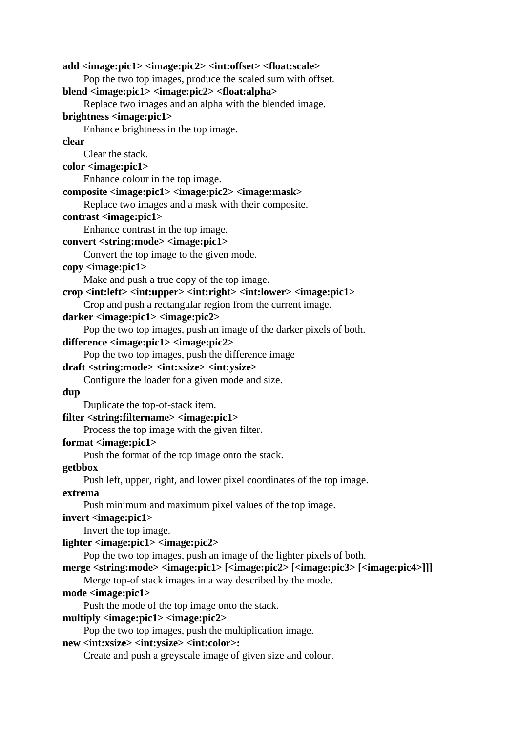```
add <image:pic1> <image:pic2> <int:offset> <float:scale>
    Pop the two top images, produce the scaled sum with offset.
blend <image:pic1> <image:pic2> <float:alpha>
    Replace two images and an alpha with the blended image.
brightness <image:pic1>
    Enhance brightness in the top image.
clear
    Clear the stack.
color <image:pic1>
    Enhance colour in the top image.
composite <image:pic1> <image:pic2> <image:mask>
    Replace two images and a mask with their composite.
contrast <image:pic1>
    Enhance contrast in the top image.
convert <string:mode> <image:pic1>
    Convert the top image to the given mode.
copy <image:pic1>
    Make and push a true copy of the top image.
crop <int:left> <int:upper> <int:right> <int:lower> <image:pic1>
    Crop and push a rectangular region from the current image.
darker <image:pic1> <image:pic2>
    Pop the two top images, push an image of the darker pixels of both.
difference <image:pic1> <image:pic2>
    Pop the two top images, push the difference image
draft <string:mode> <int:xsize> <int:ysize>
    Configure the loader for a given mode and size.
dup
    Duplicate the top-of-stack item.
filter <string:filtername> <image:pic1>
    Process the top image with the given filter.
format <image:pic1>
    Push the format of the top image onto the stack.
getbbox
    Push left, upper, right, and lower pixel coordinates of the top image.
extrema
    Push minimum and maximum pixel values of the top image.
invert <image:pic1>
    Invert the top image.
lighter <image:pic1> <image:pic2>
    Pop the two top images, push an image of the lighter pixels of both.
merge <string:mode> <image:pic1> [<image:pic2> [<image:pic3> [<image:pic4>]]]
    Merge top-of stack images in a way described by the mode.
mode <image:pic1>
    Push the mode of the top image onto the stack.
multiply <image:pic1> <image:pic2>
    Pop the two top images, push the multiplication image.
new <int:xsize> <int:ysize> <int:color>:
    Create and push a greyscale image of given size and colour.
```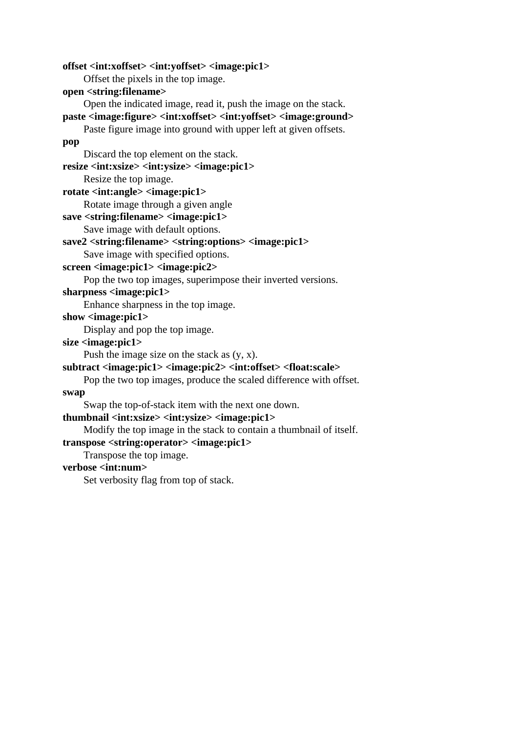```
offset <int:xoffset> <int:yoffset> <image:pic1>
    Offset the pixels in the top image.
open <string:filename>
    Open the indicated image, read it, push the image on the stack.
paste <image:figure> <int:xoffset> <int:yoffset> <image:ground>
    Paste figure image into ground with upper left at given offsets.
pop
    Discard the top element on the stack.
resize <int:xsize> <int:ysize> <image:pic1>
    Resize the top image.
rotate <int:angle> <image:pic1>
    Rotate image through a given angle
save <string:filename> <image:pic1>
    Save image with default options.
save2 <string:filename> <string:options> <image:pic1>
    Save image with specified options.
screen <image:pic1> <image:pic2>
    Pop the two top images, superimpose their inverted versions.
sharpness <image:pic1>
    Enhance sharpness in the top image.
show <image:pic1>
    Display and pop the top image.
size <image:pic1>
    Push the image size on the stack as (y, x).
subtract <image:pic1> <image:pic2> <int:offset> <float:scale>
    Pop the two top images, produce the scaled difference with offset.
swap
    Swap the top-of-stack item with the next one down.
thumbnail <int:xsize> <int:ysize> <image:pic1>
    Modify the top image in the stack to contain a thumbnail of itself.
transpose <string:operator> <image:pic1>
    Transpose the top image.
verbose <int:num>
    Set verbosity flag from top of stack.
```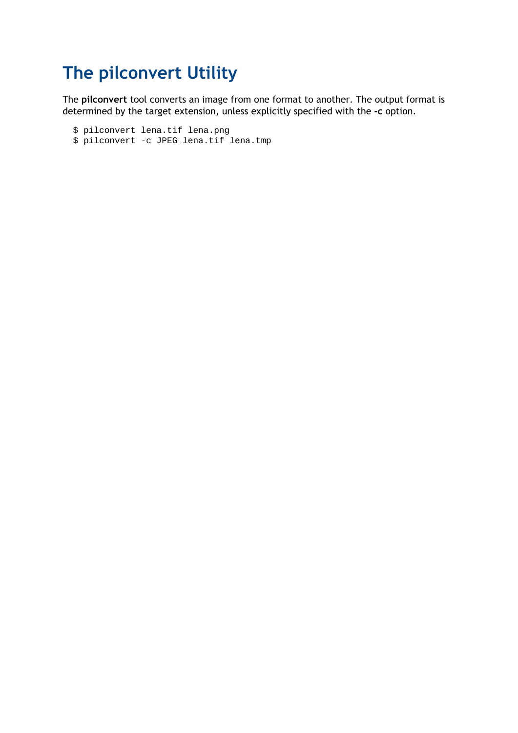# **The pilconvert Utility**

The **pilconvert** tool converts an image from one format to another. The output format is determined by the target extension, unless explicitly specified with the **-c** option.

- \$ pilconvert lena.tif lena.png
- \$ pilconvert -c JPEG lena.tif lena.tmp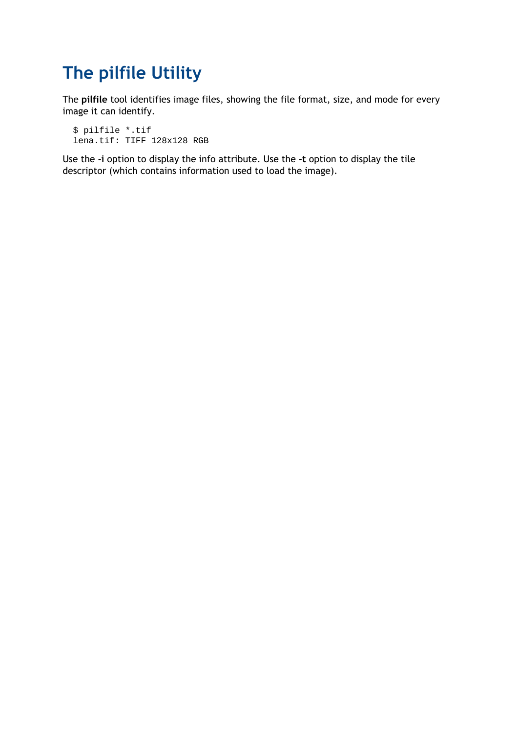# **The pilfile Utility**

The **pilfile** tool identifies image files, showing the file format, size, and mode for every image it can identify.

\$ pilfile \*.tif lena.tif: TIFF 128x128 RGB

Use the **-i** option to display the info attribute. Use the **-t** option to display the tile descriptor (which contains information used to load the image).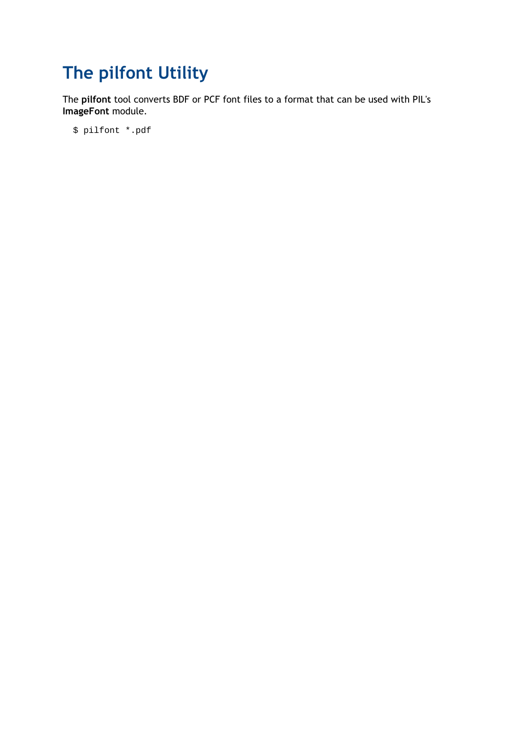# **The pilfont Utility**

The **pilfont** tool converts BDF or PCF font files to a format that can be used with PIL's **ImageFont** module.

\$ pilfont \*.pdf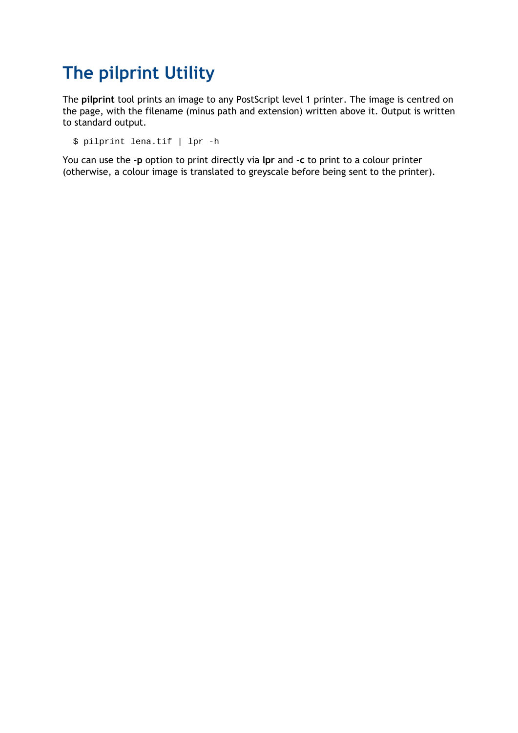# **The pilprint Utility**

The **pilprint** tool prints an image to any PostScript level 1 printer. The image is centred on the page, with the filename (minus path and extension) written above it. Output is written to standard output.

\$ pilprint lena.tif | lpr -h

You can use the **-p** option to print directly via **lpr** and **-c** to print to a colour printer (otherwise, a colour image is translated to greyscale before being sent to the printer).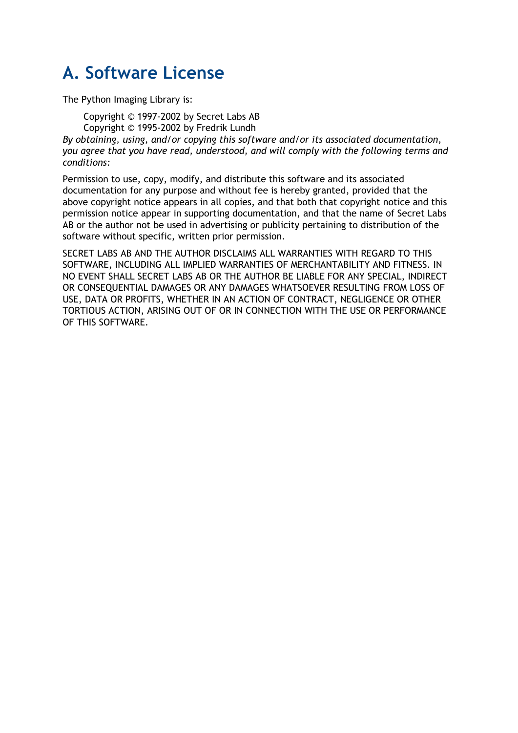# **A. Software License**

The Python Imaging Library is:

Copyright © 1997-2002 by Secret Labs AB

Copyright © 1995-2002 by Fredrik Lundh

*By obtaining, using, and/or copying this software and/or its associated documentation, you agree that you have read, understood, and will comply with the following terms and conditions:*

Permission to use, copy, modify, and distribute this software and its associated documentation for any purpose and without fee is hereby granted, provided that the above copyright notice appears in all copies, and that both that copyright notice and this permission notice appear in supporting documentation, and that the name of Secret Labs AB or the author not be used in advertising or publicity pertaining to distribution of the software without specific, written prior permission.

SECRET LABS AB AND THE AUTHOR DISCLAIMS ALL WARRANTIES WITH REGARD TO THIS SOFTWARE, INCLUDING ALL IMPLIED WARRANTIES OF MERCHANTABILITY AND FITNESS. IN NO EVENT SHALL SECRET LABS AB OR THE AUTHOR BE LIABLE FOR ANY SPECIAL, INDIRECT OR CONSEQUENTIAL DAMAGES OR ANY DAMAGES WHATSOEVER RESULTING FROM LOSS OF USE, DATA OR PROFITS, WHETHER IN AN ACTION OF CONTRACT, NEGLIGENCE OR OTHER TORTIOUS ACTION, ARISING OUT OF OR IN CONNECTION WITH THE USE OR PERFORMANCE OF THIS SOFTWARE.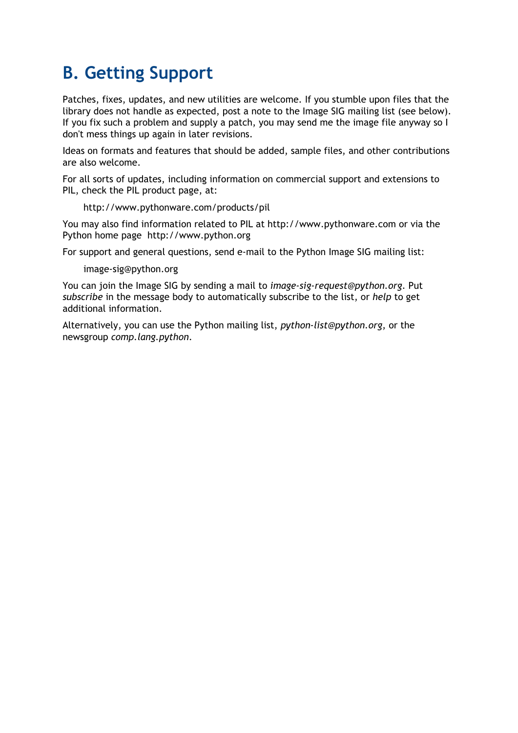# **B. Getting Support**

Patches, fixes, updates, and new utilities are welcome. If you stumble upon files that the library does not handle as expected, post a note to the Image SIG mailing list (see below). If you fix such a problem and supply a patch, you may send me the image file anyway so I don't mess things up again in later revisions.

Ideas on formats and features that should be added, sample files, and other contributions are also welcome.

For all sorts of updates, including information on commercial support and extensions to PIL, check the PIL product page, at:

http://www.pythonware.com/products/pil

You may also find information related to PIL at http://www.pythonware.com or via the Python home page http://www.python.org

For support and general questions, send e-mail to the Python Image SIG mailing list:

image-sig@python.org

You can join the Image SIG by sending a mail to *image-sig-request@python.org*. Put *subscribe* in the message body to automatically subscribe to the list, or *help* to get additional information.

Alternatively, you can use the Python mailing list, *python-list@python.org*, or the newsgroup *comp.lang.python*.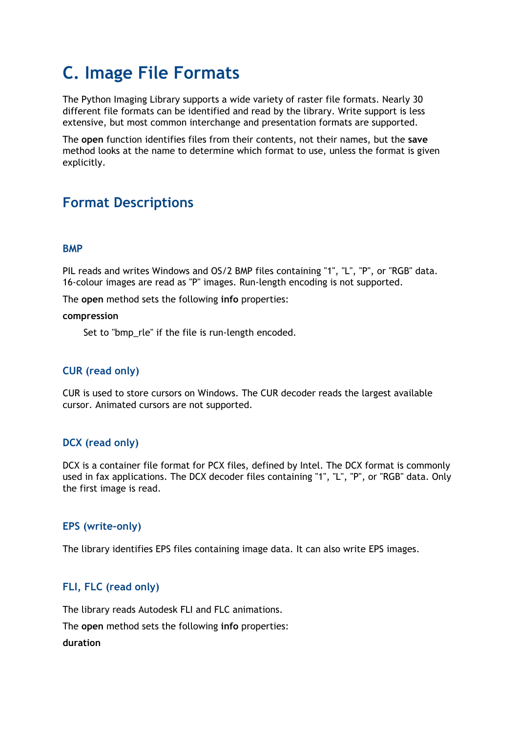# **C. Image File Formats**

The Python Imaging Library supports a wide variety of raster file formats. Nearly 30 different file formats can be identified and read by the library. Write support is less extensive, but most common interchange and presentation formats are supported.

The **open** function identifies files from their contents, not their names, but the **save** method looks at the name to determine which format to use, unless the format is given explicitly.

# **Format Descriptions**

### **BMP**

PIL reads and writes Windows and OS/2 BMP files containing "1", "L", "P", or "RGB" data. 16-colour images are read as "P" images. Run-length encoding is not supported.

The **open** method sets the following **info** properties:

### **compression**

Set to "bmp\_rle" if the file is run-length encoded.

### **CUR (read only)**

CUR is used to store cursors on Windows. The CUR decoder reads the largest available cursor. Animated cursors are not supported.

## **DCX (read only)**

DCX is a container file format for PCX files, defined by Intel. The DCX format is commonly used in fax applications. The DCX decoder files containing "1", "L", "P", or "RGB" data. Only the first image is read.

### **EPS (write-only)**

The library identifies EPS files containing image data. It can also write EPS images.

## **FLI, FLC (read only)**

The library reads Autodesk FLI and FLC animations. The **open** method sets the following **info** properties: **duration**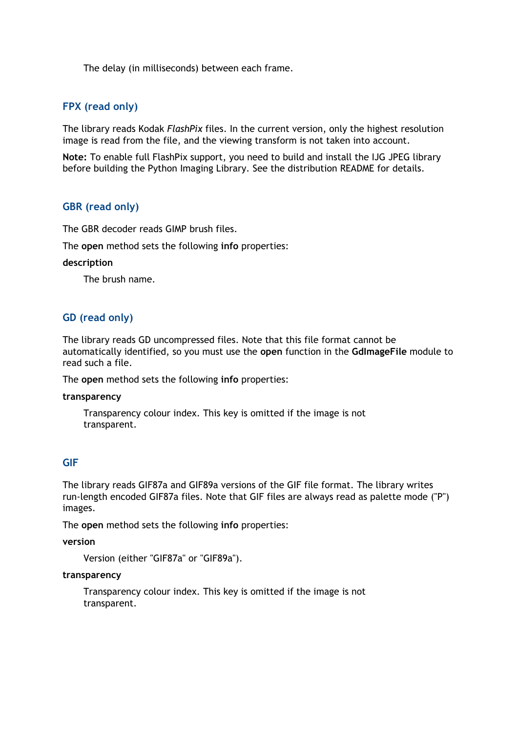The delay (in milliseconds) between each frame.

## **FPX (read only)**

The library reads Kodak *FlashPix* files. In the current version, only the highest resolution image is read from the file, and the viewing transform is not taken into account.

**Note:** To enable full FlashPix support, you need to build and install the IJG JPEG library before building the Python Imaging Library. See the distribution README for details.

### **GBR (read only)**

The GBR decoder reads GIMP brush files.

The **open** method sets the following **info** properties:

#### **description**

The brush name.

### **GD (read only)**

The library reads GD uncompressed files. Note that this file format cannot be automatically identified, so you must use the **open** function in the **GdImageFile** module to read such a file.

The **open** method sets the following **info** properties:

### **transparency**

Transparency colour index. This key is omitted if the image is not transparent.

### **GIF**

The library reads GIF87a and GIF89a versions of the GIF file format. The library writes run-length encoded GIF87a files. Note that GIF files are always read as palette mode ("P") images.

The **open** method sets the following **info** properties:

#### **version**

Version (either "GIF87a" or "GIF89a").

#### **transparency**

Transparency colour index. This key is omitted if the image is not transparent.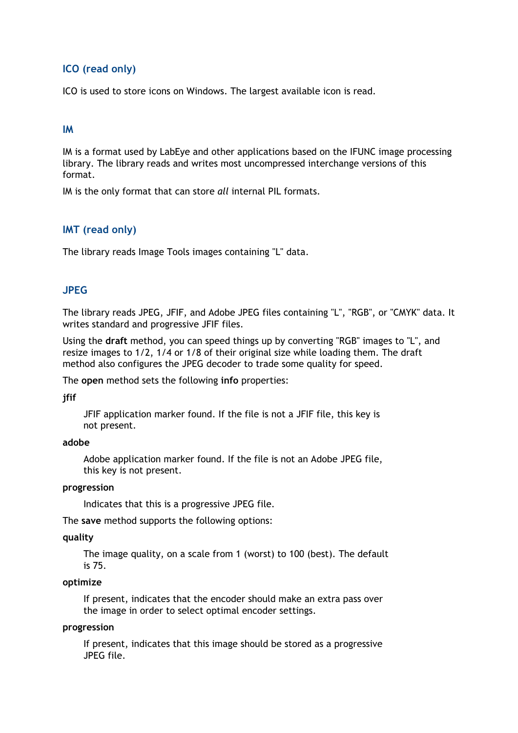## **ICO (read only)**

ICO is used to store icons on Windows. The largest available icon is read.

### **IM**

IM is a format used by LabEye and other applications based on the IFUNC image processing library. The library reads and writes most uncompressed interchange versions of this format.

IM is the only format that can store *all* internal PIL formats.

## **IMT (read only)**

The library reads Image Tools images containing "L" data.

### **JPEG**

The library reads JPEG, JFIF, and Adobe JPEG files containing "L", "RGB", or "CMYK" data. It writes standard and progressive JFIF files.

Using the **draft** method, you can speed things up by converting "RGB" images to "L", and resize images to 1/2, 1/4 or 1/8 of their original size while loading them. The draft method also configures the JPEG decoder to trade some quality for speed.

The **open** method sets the following **info** properties:

**jfif**

JFIF application marker found. If the file is not a JFIF file, this key is not present.

### **adobe**

Adobe application marker found. If the file is not an Adobe JPEG file, this key is not present.

### **progression**

Indicates that this is a progressive JPEG file.

The **save** method supports the following options:

### **quality**

The image quality, on a scale from 1 (worst) to 100 (best). The default is 75.

### **optimize**

If present, indicates that the encoder should make an extra pass over the image in order to select optimal encoder settings.

### **progression**

If present, indicates that this image should be stored as a progressive JPEG file.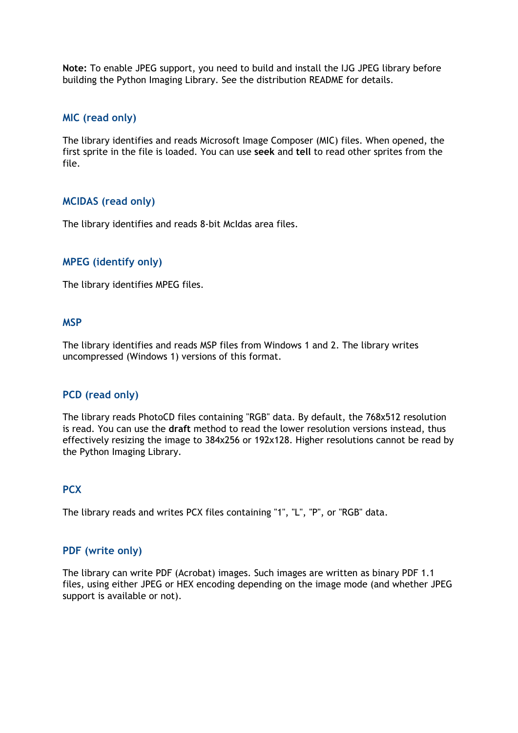**Note:** To enable JPEG support, you need to build and install the IJG JPEG library before building the Python Imaging Library. See the distribution README for details.

### **MIC (read only)**

The library identifies and reads Microsoft Image Composer (MIC) files. When opened, the first sprite in the file is loaded. You can use **seek** and **tell** to read other sprites from the file.

## **MCIDAS (read only)**

The library identifies and reads 8-bit McIdas area files.

### **MPEG (identify only)**

The library identifies MPEG files.

### **MSP**

The library identifies and reads MSP files from Windows 1 and 2. The library writes uncompressed (Windows 1) versions of this format.

### **PCD (read only)**

The library reads PhotoCD files containing "RGB" data. By default, the 768x512 resolution is read. You can use the **draft** method to read the lower resolution versions instead, thus effectively resizing the image to 384x256 or 192x128. Higher resolutions cannot be read by the Python Imaging Library.

### **PCX**

The library reads and writes PCX files containing "1", "L", "P", or "RGB" data.

### **PDF (write only)**

The library can write PDF (Acrobat) images. Such images are written as binary PDF 1.1 files, using either JPEG or HEX encoding depending on the image mode (and whether JPEG support is available or not).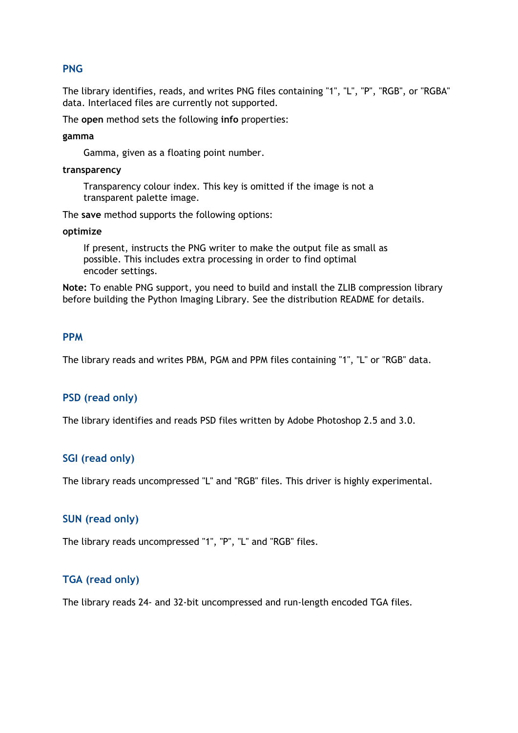### **PNG**

The library identifies, reads, and writes PNG files containing "1", "L", "P", "RGB", or "RGBA" data. Interlaced files are currently not supported.

The **open** method sets the following **info** properties:

### **gamma**

Gamma, given as a floating point number.

### **transparency**

Transparency colour index. This key is omitted if the image is not a transparent palette image.

The **save** method supports the following options:

#### **optimize**

If present, instructs the PNG writer to make the output file as small as possible. This includes extra processing in order to find optimal encoder settings.

**Note:** To enable PNG support, you need to build and install the ZLIB compression library before building the Python Imaging Library. See the distribution README for details.

### **PPM**

The library reads and writes PBM, PGM and PPM files containing "1", "L" or "RGB" data.

### **PSD (read only)**

The library identifies and reads PSD files written by Adobe Photoshop 2.5 and 3.0.

### **SGI (read only)**

The library reads uncompressed "L" and "RGB" files. This driver is highly experimental.

### **SUN (read only)**

The library reads uncompressed "1", "P", "L" and "RGB" files.

### **TGA (read only)**

The library reads 24- and 32-bit uncompressed and run-length encoded TGA files.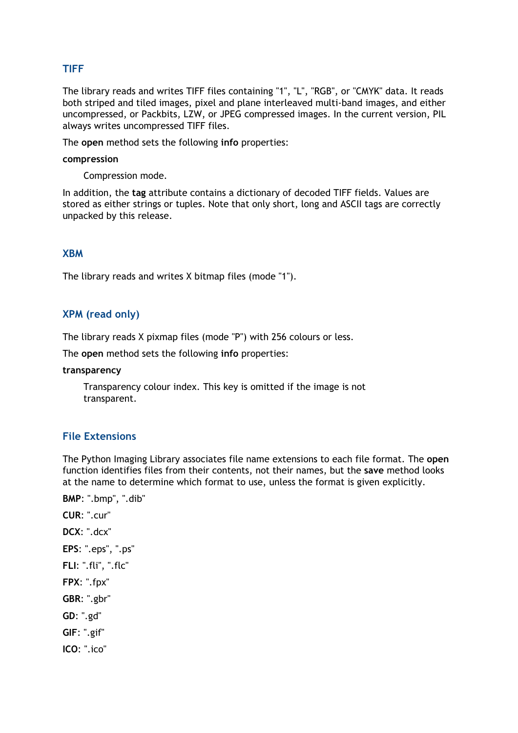### **TIFF**

The library reads and writes TIFF files containing "1", "L", "RGB", or "CMYK" data. It reads both striped and tiled images, pixel and plane interleaved multi-band images, and either uncompressed, or Packbits, LZW, or JPEG compressed images. In the current version, PIL always writes uncompressed TIFF files.

The **open** method sets the following **info** properties:

### **compression**

Compression mode.

In addition, the **tag** attribute contains a dictionary of decoded TIFF fields. Values are stored as either strings or tuples. Note that only short, long and ASCII tags are correctly unpacked by this release.

### **XBM**

The library reads and writes X bitmap files (mode "1").

### **XPM (read only)**

The library reads X pixmap files (mode "P") with 256 colours or less.

The **open** method sets the following **info** properties:

#### **transparency**

Transparency colour index. This key is omitted if the image is not transparent.

### **File Extensions**

The Python Imaging Library associates file name extensions to each file format. The **open** function identifies files from their contents, not their names, but the **save** method looks at the name to determine which format to use, unless the format is given explicitly.

**BMP**: ".bmp", ".dib" **CUR**: ".cur" **DCX**: ".dcx" **EPS**: ".eps", ".ps" **FLI**: ".fli", ".flc" **FPX**: ".fpx" **GBR**: ".gbr" **GD**: ".gd" **GIF**: ".gif" **ICO**: ".ico"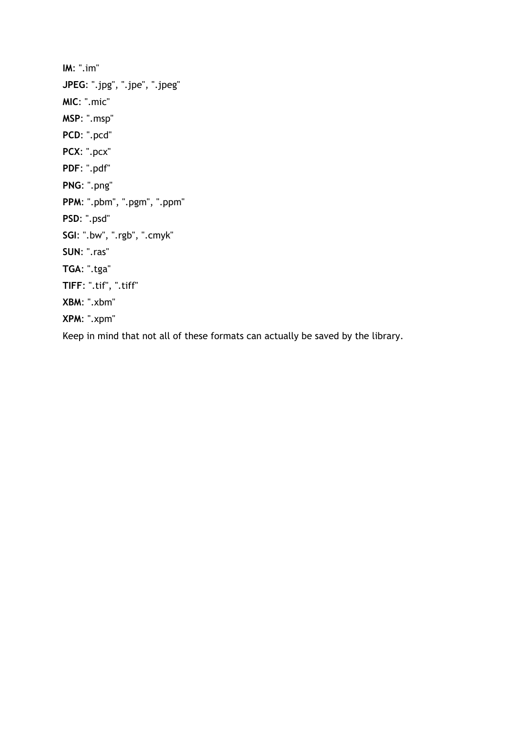**IM**: ".im" **JPEG**: ".jpg", ".jpe", ".jpeg" **MIC**: ".mic" **MSP**: ".msp" **PCD**: ".pcd" **PCX**: ".pcx" **PDF**: ".pdf" **PNG**: ".png" **PPM**: ".pbm", ".pgm", ".ppm" **PSD**: ".psd" **SGI**: ".bw", ".rgb", ".cmyk" **SUN**: ".ras" **TGA**: ".tga" **TIFF**: ".tif", ".tiff" **XBM**: ".xbm" **XPM**: ".xpm"

Keep in mind that not all of these formats can actually be saved by the library.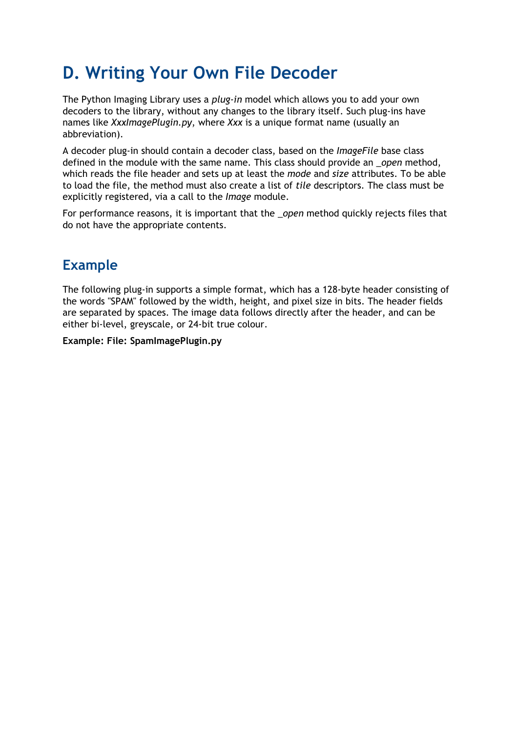# **D. Writing Your Own File Decoder**

The Python Imaging Library uses a *plug-in* model which allows you to add your own decoders to the library, without any changes to the library itself. Such plug-ins have names like *XxxImagePlugin.py*, where *Xxx* is a unique format name (usually an abbreviation).

A decoder plug-in should contain a decoder class, based on the *ImageFile* base class defined in the module with the same name. This class should provide an *\_open* method, which reads the file header and sets up at least the *mode* and *size* attributes. To be able to load the file, the method must also create a list of *tile* descriptors. The class must be explicitly registered, via a call to the *Image* module.

For performance reasons, it is important that the *\_open* method quickly rejects files that do not have the appropriate contents.

# **Example**

The following plug-in supports a simple format, which has a 128-byte header consisting of the words "SPAM" followed by the width, height, and pixel size in bits. The header fields are separated by spaces. The image data follows directly after the header, and can be either bi-level, greyscale, or 24-bit true colour.

**Example: File: SpamImagePlugin.py**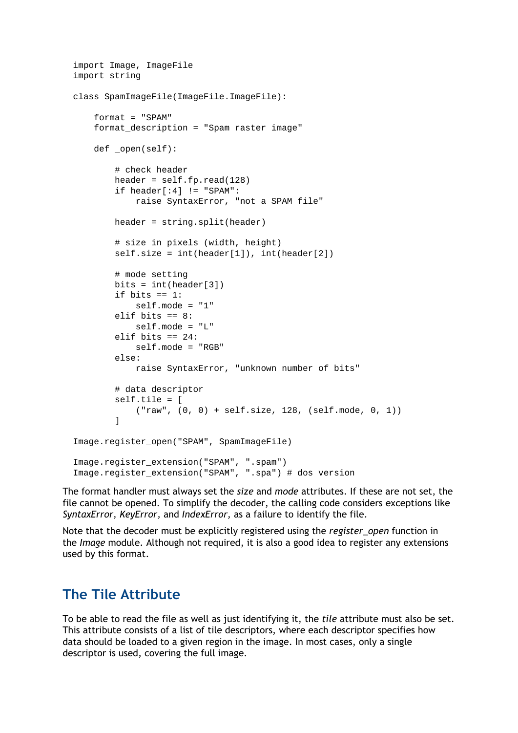```
import Image, ImageFile
import string
class SpamImageFile(ImageFile.ImageFile):
    format = "SPAM" format_description = "Spam raster image"
     def _open(self):
         # check header
         header = self.fp.read(128)
        if header[:4] != "SPAM":
             raise SyntaxError, "not a SPAM file"
         header = string.split(header)
         # size in pixels (width, height)
        self.size = int(header[1]), int(header[2]) # mode setting
        bits = int(header[3])if bits == 1:
             self.mode = "1"
         elif bits == 8:
             self.mode = "L"
        elif bits == 24:
             self.mode = "RGB"
         else:
             raise SyntaxError, "unknown number of bits"
         # data descriptor
         self.tile = [
             ("raw", (0, 0) + self.size, 128, (self.mode, 0, 1))
 ]
Image.register_open("SPAM", SpamImageFile)
Image.register_extension("SPAM", ".spam")
Image.register_extension("SPAM", ".spa") # dos version
```
The format handler must always set the *size* and *mode* attributes. If these are not set, the file cannot be opened. To simplify the decoder, the calling code considers exceptions like *SyntaxError, KeyError,* and *IndexError,* as a failure to identify the file.

Note that the decoder must be explicitly registered using the *register\_open* function in the *Image* module. Although not required, it is also a good idea to register any extensions used by this format.

### **The Tile Attribute**

To be able to read the file as well as just identifying it, the *tile* attribute must also be set. This attribute consists of a list of tile descriptors, where each descriptor specifies how data should be loaded to a given region in the image. In most cases, only a single descriptor is used, covering the full image.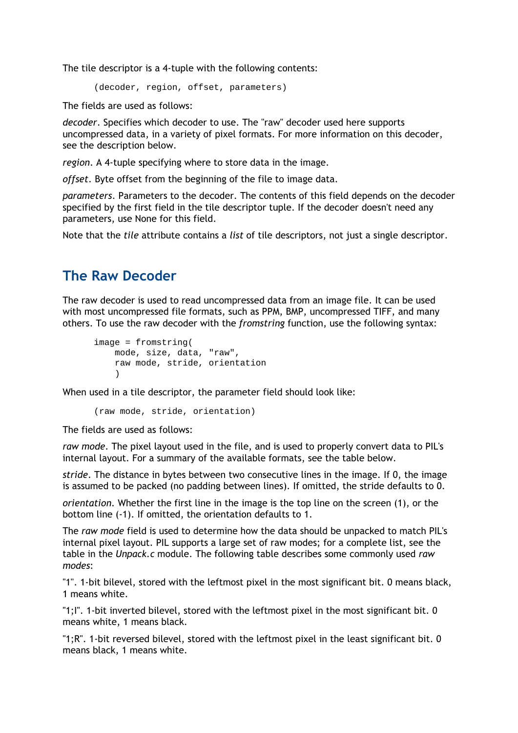The tile descriptor is a 4-tuple with the following contents:

(decoder, region, offset, parameters)

The fields are used as follows:

*decoder*. Specifies which decoder to use. The "raw" decoder used here supports uncompressed data, in a variety of pixel formats. For more information on this decoder, see the description below.

*region*. A 4-tuple specifying where to store data in the image.

*offset*. Byte offset from the beginning of the file to image data.

*parameters*. Parameters to the decoder. The contents of this field depends on the decoder specified by the first field in the tile descriptor tuple. If the decoder doesn't need any parameters, use None for this field.

Note that the *tile* attribute contains a *list* of tile descriptors, not just a single descriptor.

## **The Raw Decoder**

The raw decoder is used to read uncompressed data from an image file. It can be used with most uncompressed file formats, such as PPM, BMP, uncompressed TIFF, and many others. To use the raw decoder with the *fromstring* function, use the following syntax:

```
 image = fromstring(
          mode, size, data, "raw", 
          raw mode, stride, orientation
\overline{\phantom{a}}
```
When used in a tile descriptor, the parameter field should look like:

(raw mode, stride, orientation)

The fields are used as follows:

*raw mode*. The pixel layout used in the file, and is used to properly convert data to PIL's internal layout. For a summary of the available formats, see the table below.

*stride*. The distance in bytes between two consecutive lines in the image. If 0, the image is assumed to be packed (no padding between lines). If omitted, the stride defaults to 0.

*orientation*. Whether the first line in the image is the top line on the screen (1), or the bottom line (-1). If omitted, the orientation defaults to 1.

The *raw mode* field is used to determine how the data should be unpacked to match PIL's internal pixel layout. PIL supports a large set of raw modes; for a complete list, see the table in the *Unpack.c* module. The following table describes some commonly used *raw modes*:

"1". 1-bit bilevel, stored with the leftmost pixel in the most significant bit. 0 means black, 1 means white.

"1;I". 1-bit inverted bilevel, stored with the leftmost pixel in the most significant bit. 0 means white, 1 means black.

"1;R". 1-bit reversed bilevel, stored with the leftmost pixel in the least significant bit. 0 means black, 1 means white.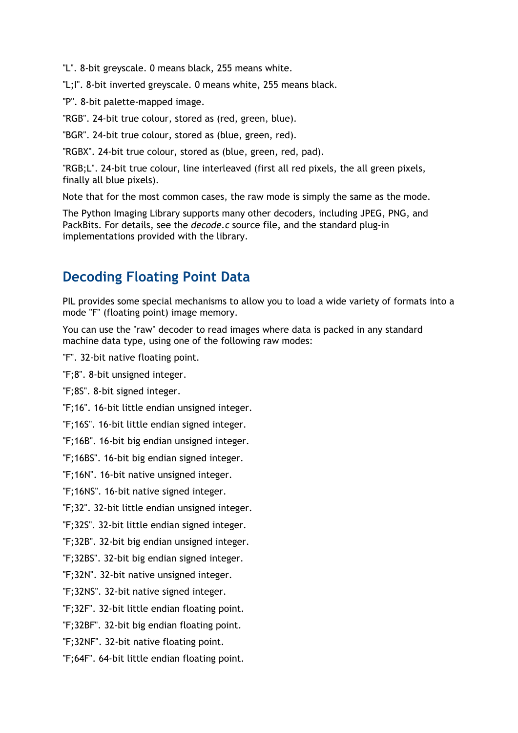"L". 8-bit greyscale. 0 means black, 255 means white.

"L;I". 8-bit inverted greyscale. 0 means white, 255 means black.

"P". 8-bit palette-mapped image.

"RGB". 24-bit true colour, stored as (red, green, blue).

"BGR". 24-bit true colour, stored as (blue, green, red).

"RGBX". 24-bit true colour, stored as (blue, green, red, pad).

"RGB;L". 24-bit true colour, line interleaved (first all red pixels, the all green pixels, finally all blue pixels).

Note that for the most common cases, the raw mode is simply the same as the mode.

The Python Imaging Library supports many other decoders, including JPEG, PNG, and PackBits. For details, see the *decode.c* source file, and the standard plug-in implementations provided with the library.

### **Decoding Floating Point Data**

PIL provides some special mechanisms to allow you to load a wide variety of formats into a mode "F" (floating point) image memory.

You can use the "raw" decoder to read images where data is packed in any standard machine data type, using one of the following raw modes:

"F". 32-bit native floating point.

"F;8". 8-bit unsigned integer.

"F;8S". 8-bit signed integer.

"F;16". 16-bit little endian unsigned integer.

"F;16S". 16-bit little endian signed integer.

"F;16B". 16-bit big endian unsigned integer.

"F;16BS". 16-bit big endian signed integer.

"F;16N". 16-bit native unsigned integer.

"F;16NS". 16-bit native signed integer.

"F;32". 32-bit little endian unsigned integer.

"F;32S". 32-bit little endian signed integer.

"F;32B". 32-bit big endian unsigned integer.

"F;32BS". 32-bit big endian signed integer.

"F;32N". 32-bit native unsigned integer.

"F;32NS". 32-bit native signed integer.

"F;32F". 32-bit little endian floating point.

"F;32BF". 32-bit big endian floating point.

"F;32NF". 32-bit native floating point.

"F;64F". 64-bit little endian floating point.